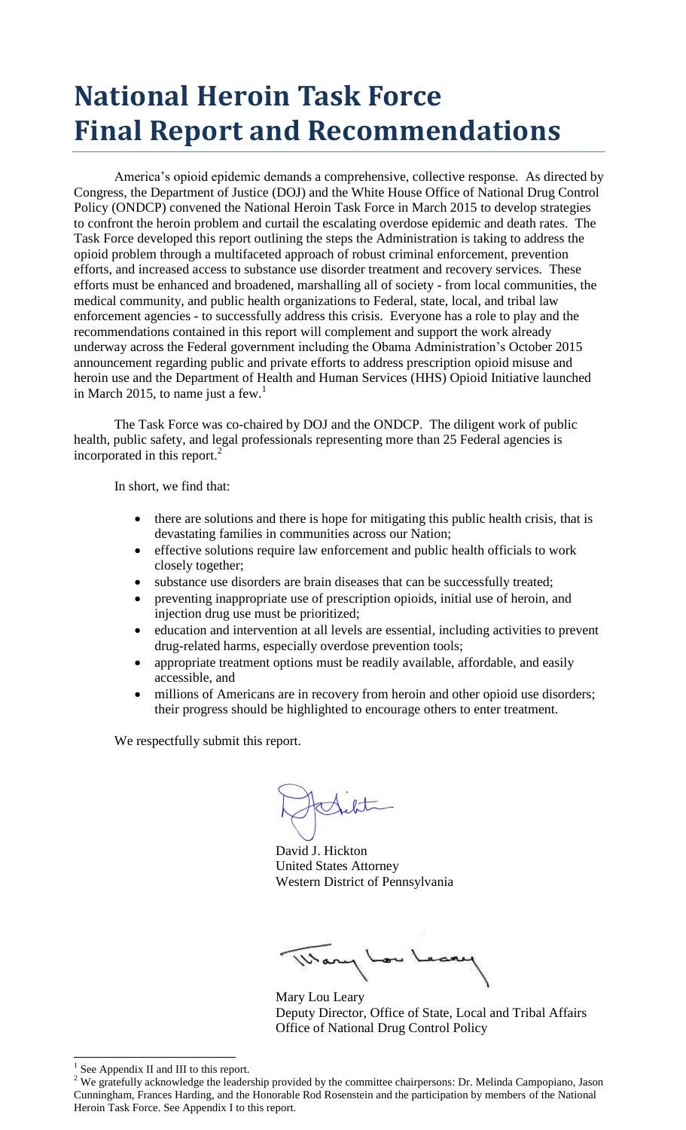# **National Heroin Task Force Final Report and Recommendations**

America's opioid epidemic demands a comprehensive, collective response. As directed by Congress, the Department of Justice (DOJ) and the White House Office of National Drug Control Policy (ONDCP) convened the National Heroin Task Force in March 2015 to develop strategies to confront the heroin problem and curtail the escalating overdose epidemic and death rates. The Task Force developed this report outlining the steps the Administration is taking to address the opioid problem through a multifaceted approach of robust criminal enforcement, prevention efforts, and increased access to substance use disorder treatment and recovery services. These efforts must be enhanced and broadened, marshalling all of society - from local communities, the medical community, and public health organizations to Federal, state, local, and tribal law enforcement agencies - to successfully address this crisis. Everyone has a role to play and the recommendations contained in this report will complement and support the work already underway across the Federal government including the Obama Administration's October 2015 announcement regarding public and private efforts to address prescription opioid misuse and heroin use and the Department of Health and Human Services (HHS) Opioid Initiative launched in March 2015, to name just a few.<sup>1</sup>

The Task Force was co-chaired by DOJ and the ONDCP. The diligent work of public health, public safety, and legal professionals representing more than 25 Federal agencies is incorporated in this report. 2

In short, we find that:

- there are solutions and there is hope for mitigating this public health crisis, that is devastating families in communities across our Nation;
- effective solutions require law enforcement and public health officials to work closely together;
- substance use disorders are brain diseases that can be successfully treated;
- preventing inappropriate use of prescription opioids, initial use of heroin, and injection drug use must be prioritized;
- education and intervention at all levels are essential, including activities to prevent drug-related harms, especially overdose prevention tools;
- appropriate treatment options must be readily available, affordable, and easily accessible, and
- millions of Americans are in recovery from heroin and other opioid use disorders; their progress should be highlighted to encourage others to enter treatment.

We respectfully submit this report.

David J. Hickton United States Attorney Western District of Pennsylvania

Mary Lou Leary Deputy Director, Office of State, Local and Tribal Affairs Office of National Drug Control Policy

 $\overline{a}$ 

<sup>1</sup> See Appendix II and III to this report.

<sup>&</sup>lt;sup>2</sup> We gratefully acknowledge the leadership provided by the committee chairpersons: Dr. Melinda Campopiano, Jason Cunningham, Frances Harding, and the Honorable Rod Rosenstein and the participation by members of the National Heroin Task Force. See Appendix I to this report.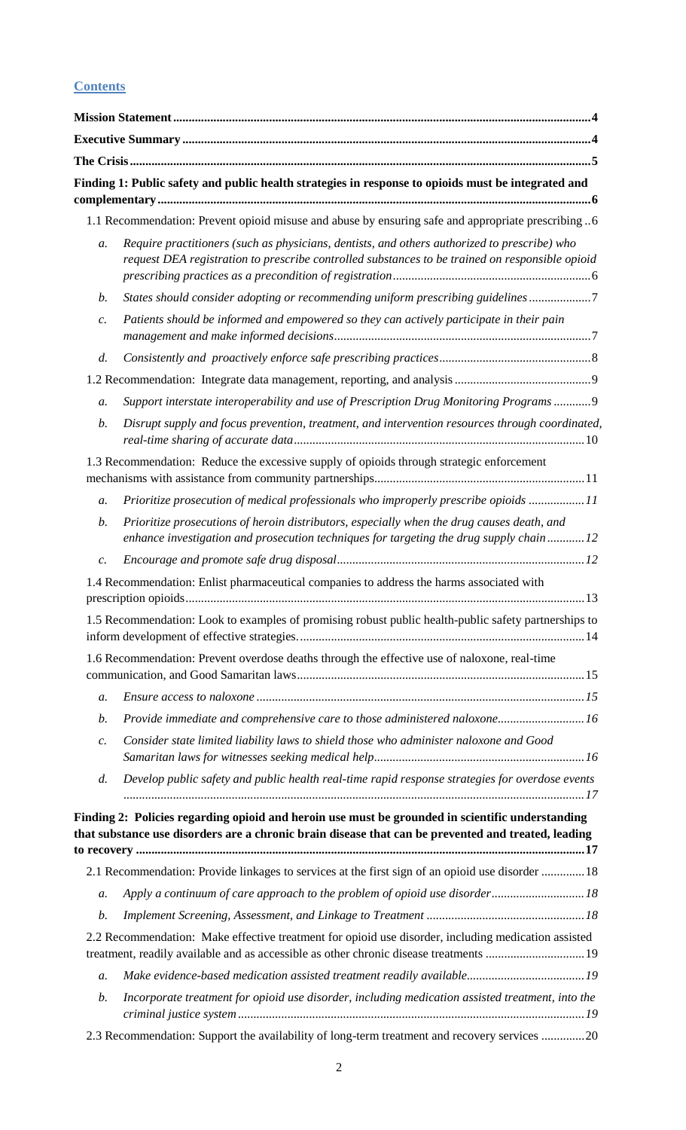## **Contents**

|                 | Finding 1: Public safety and public health strategies in response to opioids must be integrated and                                                                                                     |
|-----------------|---------------------------------------------------------------------------------------------------------------------------------------------------------------------------------------------------------|
|                 | 1.1 Recommendation: Prevent opioid misuse and abuse by ensuring safe and appropriate prescribing 6                                                                                                      |
| a.              | Require practitioners (such as physicians, dentists, and others authorized to prescribe) who<br>request DEA registration to prescribe controlled substances to be trained on responsible opioid         |
| $\mathfrak{b}.$ | States should consider adopting or recommending uniform prescribing guidelines7                                                                                                                         |
| $\mathcal{C}$ . | Patients should be informed and empowered so they can actively participate in their pain                                                                                                                |
| d.              |                                                                                                                                                                                                         |
|                 |                                                                                                                                                                                                         |
| a.              | Support interstate interoperability and use of Prescription Drug Monitoring Programs 9                                                                                                                  |
| $\mathfrak{b}.$ | Disrupt supply and focus prevention, treatment, and intervention resources through coordinated,                                                                                                         |
|                 | 1.3 Recommendation: Reduce the excessive supply of opioids through strategic enforcement                                                                                                                |
| a.              | Prioritize prosecution of medical professionals who improperly prescribe opioids 11                                                                                                                     |
| $\mathfrak{b}.$ | Prioritize prosecutions of heroin distributors, especially when the drug causes death, and<br>enhance investigation and prosecution techniques for targeting the drug supply chain12                    |
| $\mathcal{C}.$  |                                                                                                                                                                                                         |
|                 | 1.4 Recommendation: Enlist pharmaceutical companies to address the harms associated with                                                                                                                |
|                 | 1.5 Recommendation: Look to examples of promising robust public health-public safety partnerships to                                                                                                    |
|                 | 1.6 Recommendation: Prevent overdose deaths through the effective use of naloxone, real-time                                                                                                            |
| a.              |                                                                                                                                                                                                         |
| $\mathfrak{b}.$ | Provide immediate and comprehensive care to those administered naloxone16                                                                                                                               |
| $\mathcal{C}$ . | Consider state limited liability laws to shield those who administer naloxone and Good                                                                                                                  |
| d.              | Develop public safety and public health real-time rapid response strategies for overdose events                                                                                                         |
|                 | Finding 2: Policies regarding opioid and heroin use must be grounded in scientific understanding<br>that substance use disorders are a chronic brain disease that can be prevented and treated, leading |
|                 | 2.1 Recommendation: Provide linkages to services at the first sign of an opioid use disorder  18                                                                                                        |
| $a$ .           | Apply a continuum of care approach to the problem of opioid use disorder 18                                                                                                                             |
| b.              |                                                                                                                                                                                                         |
|                 | 2.2 Recommendation: Make effective treatment for opioid use disorder, including medication assisted<br>treatment, readily available and as accessible as other chronic disease treatments  19           |
| $a$ .           |                                                                                                                                                                                                         |
| $\mathfrak{b}.$ | Incorporate treatment for opioid use disorder, including medication assisted treatment, into the                                                                                                        |
|                 | 2.3 Recommendation: Support the availability of long-term treatment and recovery services 20                                                                                                            |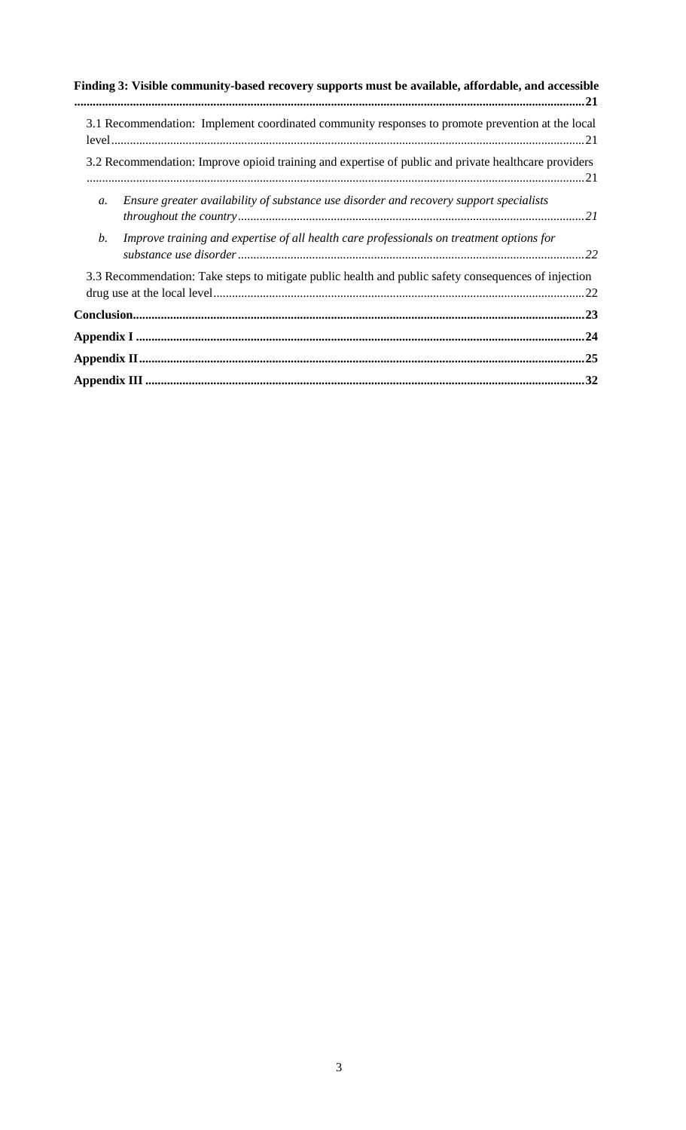| Finding 3: Visible community-based recovery supports must be available, affordable, and accessible        |  |
|-----------------------------------------------------------------------------------------------------------|--|
| 3.1 Recommendation: Implement coordinated community responses to promote prevention at the local          |  |
| 3.2 Recommendation: Improve opioid training and expertise of public and private healthcare providers      |  |
| Ensure greater availability of substance use disorder and recovery support specialists<br>$\mathfrak{a}.$ |  |
| b.<br>Improve training and expertise of all health care professionals on treatment options for            |  |
| 3.3 Recommendation: Take steps to mitigate public health and public safety consequences of injection      |  |
|                                                                                                           |  |
|                                                                                                           |  |
|                                                                                                           |  |
|                                                                                                           |  |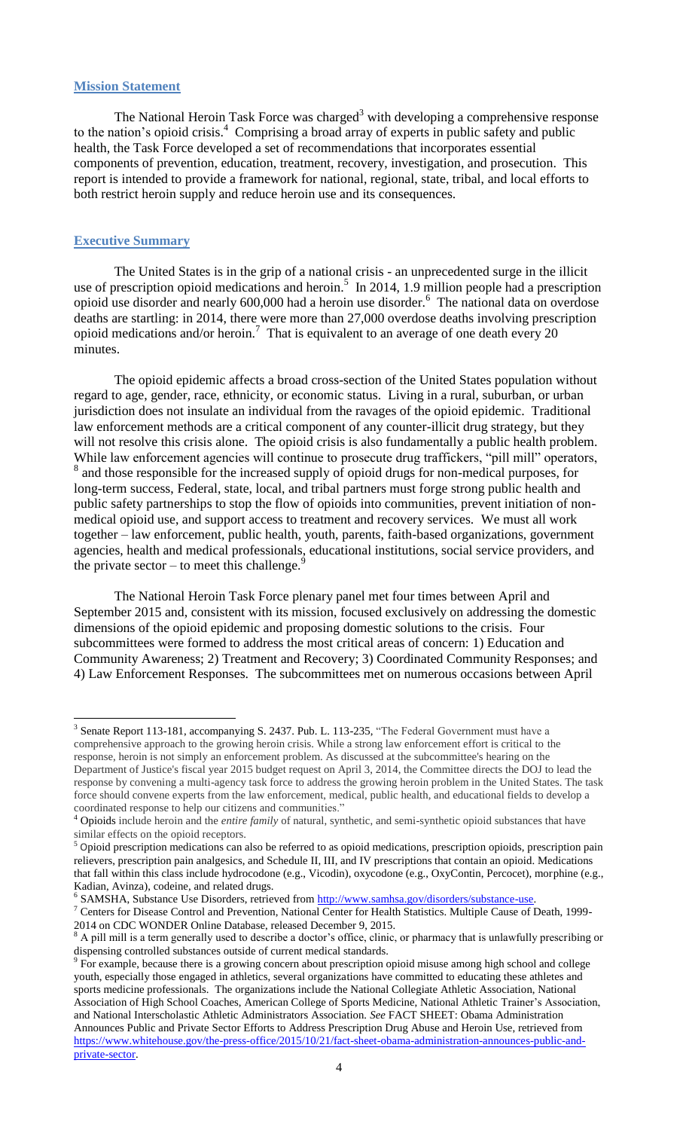#### <span id="page-3-0"></span>**Mission Statement**

The National Heroin Task Force was charged<sup>3</sup> with developing a comprehensive response to the nation's opioid crisis. <sup>4</sup> Comprising a broad array of experts in public safety and public health, the Task Force developed a set of recommendations that incorporates essential components of prevention, education, treatment, recovery, investigation, and prosecution. This report is intended to provide a framework for national, regional, state, tribal, and local efforts to both restrict heroin supply and reduce heroin use and its consequences.

#### <span id="page-3-1"></span>**Executive Summary**

The United States is in the grip of a national crisis - an unprecedented surge in the illicit use of prescription opioid medications and heroin.<sup>5</sup> In 2014, 1.9 million people had a prescription opioid use disorder and nearly  $600,000$  had a heroin use disorder. <sup>6</sup> The national data on overdose deaths are startling: in 2014, there were more than 27,000 overdose deaths involving prescription opioid medications and/or heroin.<sup>7</sup> That is equivalent to an average of one death every 20 minutes.

The opioid epidemic affects a broad cross-section of the United States population without regard to age, gender, race, ethnicity, or economic status. Living in a rural, suburban, or urban jurisdiction does not insulate an individual from the ravages of the opioid epidemic. Traditional law enforcement methods are a critical component of any counter-illicit drug strategy, but they will not resolve this crisis alone. The opioid crisis is also fundamentally a public health problem. While law enforcement agencies will continue to prosecute drug traffickers, "pill mill" operators, <sup>8</sup> and those responsible for the increased supply of opioid drugs for non-medical purposes, for long-term success, Federal, state, local, and tribal partners must forge strong public health and public safety partnerships to stop the flow of opioids into communities, prevent initiation of nonmedical opioid use, and support access to treatment and recovery services. We must all work together – law enforcement, public health, youth, parents, faith-based organizations, government agencies, health and medical professionals, educational institutions, social service providers, and the private sector – to meet this challenge. $\frac{9}{2}$ 

The National Heroin Task Force plenary panel met four times between April and September 2015 and, consistent with its mission, focused exclusively on addressing the domestic dimensions of the opioid epidemic and proposing domestic solutions to the crisis. Four subcommittees were formed to address the most critical areas of concern: 1) Education and Community Awareness; 2) Treatment and Recovery; 3) Coordinated Community Responses; and 4) Law Enforcement Responses. The subcommittees met on numerous occasions between April

<sup>6</sup> SAMSHA, Substance Use Disorders, retrieved from [http://www.samhsa.gov/disorders/substance-use.](http://www.samhsa.gov/disorders/substance-use)

<sup>&</sup>lt;sup>3</sup> Senate Report 113-181, accompanying S. 2437. Pub. L. 113-235, "The Federal Government must have a comprehensive approach to the growing heroin crisis. While a strong law enforcement effort is critical to the response, heroin is not simply an enforcement problem. As discussed at the subcommittee's hearing on the Department of Justice's fiscal year 2015 budget request on April 3, 2014, the Committee directs the DOJ to lead the response by convening a multi-agency task force to address the growing heroin problem in the United States. The task force should convene experts from the law enforcement, medical, public health, and educational fields to develop a coordinated response to help our citizens and communities."

<sup>4</sup> Opioids include heroin and the *entire family* of natural, synthetic, and semi-synthetic opioid substances that have similar effects on the opioid receptors.

<sup>&</sup>lt;sup>5</sup> Opioid prescription medications can also be referred to as opioid medications, prescription opioids, prescription pain relievers, prescription pain analgesics, and Schedule II, III, and IV prescriptions that contain an opioid. Medications that fall within this class include hydrocodone (e.g., Vicodin), oxycodone (e.g., OxyContin, Percocet), morphine (e.g., Kadian, Avinza), codeine, and related drugs.

<sup>&</sup>lt;sup>7</sup> Centers for Disease Control and Prevention, National Center for Health Statistics. Multiple Cause of Death, 1999-2014 on CDC WONDER Online Database, released December 9, 2015.

<sup>&</sup>lt;sup>8</sup> A pill mill is a term generally used to describe a doctor's office, clinic, or pharmacy that is unlawfully prescribing or dispensing controlled substances outside of current medical standards.

<sup>9</sup> For example, because there is a growing concern about prescription opioid misuse among high school and college youth, especially those engaged in athletics, several organizations have committed to educating these athletes and sports medicine professionals. The organizations include the National Collegiate Athletic Association, National Association of High School Coaches, American College of Sports Medicine, National Athletic Trainer's Association, and National Interscholastic Athletic Administrators Association. *See* FACT SHEET: Obama Administration Announces Public and Private Sector Efforts to Address Prescription Drug Abuse and Heroin Use, retrieved from [https://www.whitehouse.gov/the-press-office/2015/10/21/fact-sheet-obama-administration-announces-public-and](https://www.whitehouse.gov/the-press-office/2015/10/21/fact-sheet-obama-administration-announces-public-and-private-sector)[private-sector.](https://www.whitehouse.gov/the-press-office/2015/10/21/fact-sheet-obama-administration-announces-public-and-private-sector)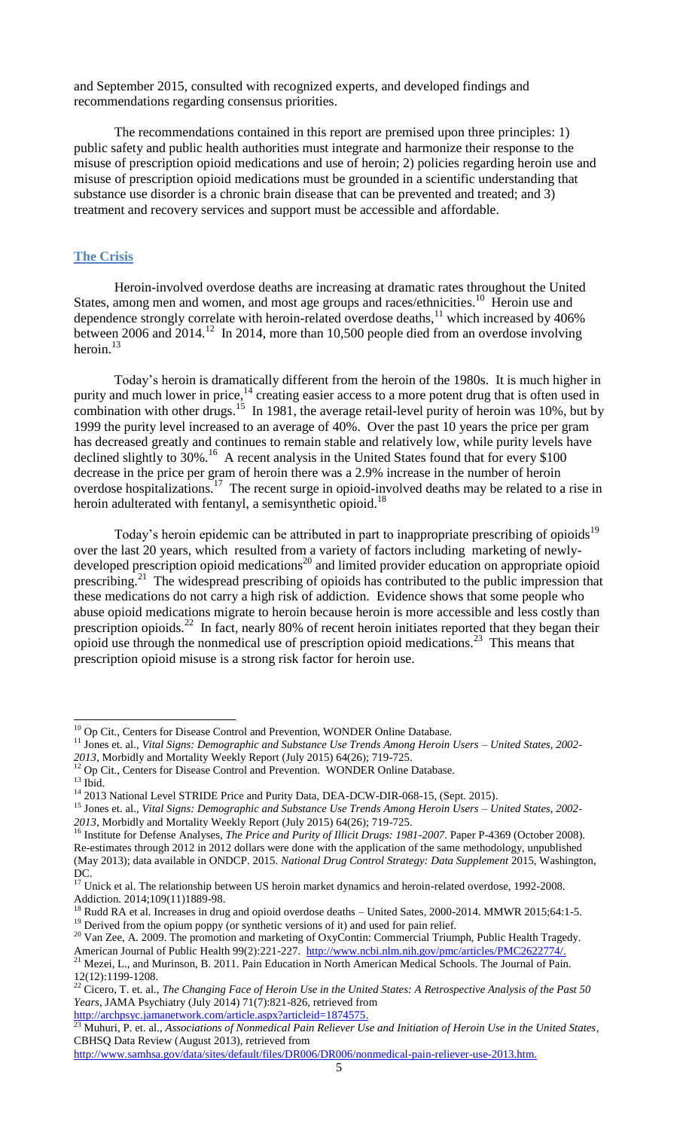and September 2015, consulted with recognized experts, and developed findings and recommendations regarding consensus priorities.

The recommendations contained in this report are premised upon three principles: 1) public safety and public health authorities must integrate and harmonize their response to the misuse of prescription opioid medications and use of heroin; 2) policies regarding heroin use and misuse of prescription opioid medications must be grounded in a scientific understanding that substance use disorder is a chronic brain disease that can be prevented and treated; and 3) treatment and recovery services and support must be accessible and affordable.

#### <span id="page-4-0"></span>**The Crisis**

Heroin-involved overdose deaths are increasing at dramatic rates throughout the United States, among men and women, and most age groups and races/ethnicities.<sup>10</sup> Heroin use and dependence strongly correlate with heroin-related overdose deaths,<sup>11</sup> which increased by 406% between 2006 and 2014.<sup>12</sup> In 2014, more than 10,500 people died from an overdose involving heroin. $13$ 

Today's heroin is dramatically different from the heroin of the 1980s. It is much higher in purity and much lower in price,<sup>14</sup> creating easier access to a more potent drug that is often used in combination with other drugs.<sup>15</sup> In 1981, the average retail-level purity of heroin was 10%, but by 1999 the purity level increased to an average of 40%. Over the past 10 years the price per gram has decreased greatly and continues to remain stable and relatively low, while purity levels have declined slightly to 30%.<sup>16</sup> A recent analysis in the United States found that for every \$100 decrease in the price per gram of heroin there was a 2.9% increase in the number of heroin overdose hospitalizations.<sup>17</sup> The recent surge in opioid-involved deaths may be related to a rise in heroin adulterated with fentanyl, a semisynthetic opioid.<sup>18</sup>

Today's heroin epidemic can be attributed in part to inappropriate prescribing of opioids<sup>19</sup> over the last 20 years, which resulted from a variety of factors including marketing of newlydeveloped prescription opioid medications<sup>20</sup> and limited provider education on appropriate opioid prescribing.<sup>21</sup> The widespread prescribing of opioids has contributed to the public impression that these medications do not carry a high risk of addiction. Evidence shows that some people who abuse opioid medications migrate to heroin because heroin is more accessible and less costly than prescription opioids.<sup>22</sup> In fact, nearly 80% of recent heroin initiates reported that they began their opioid use through the nonmedical use of prescription opioid medications.<sup>23</sup> This means that prescription opioid misuse is a strong risk factor for heroin use.

*2013*, Morbidly and Mortality Weekly Report (July 2015) 64(26); 719-725.

 $\overline{a}$ 

<sup>&</sup>lt;sup>10</sup> Op Cit., Centers for Disease Control and Prevention, WONDER Online Database.

<sup>11</sup> Jones et. al., *Vital Signs: Demographic and Substance Use Trends Among Heroin Users – United States, 2002-*

<sup>&</sup>lt;sup>12</sup> Op Cit., Centers for Disease Control and Prevention. WONDER Online Database.  $13$  Ibid.

<sup>&</sup>lt;sup>14</sup> 2013 National Level STRIDE Price and Purity Data, DEA-DCW-DIR-068-15, (Sept. 2015).

<sup>15</sup> Jones et. al., *Vital Signs: Demographic and Substance Use Trends Among Heroin Users – United States, 2002- 2013*, Morbidly and Mortality Weekly Report (July 2015) 64(26); 719-725.

<sup>&</sup>lt;sup>16</sup> Institute for Defense Analyses, *The Price and Purity of Illicit Drugs: 1981-2007*. Paper P-4369 (October 2008). Re-estimates through 2012 in 2012 dollars were done with the application of the same methodology, unpublished (May 2013); data available in ONDCP. 2015. *National Drug Control Strategy: Data Supplement* 2015, Washington, DC.

 $17$  Unick et al. The relationship between US heroin market dynamics and heroin-related overdose, 1992-2008. Addiction. 2014;109(11)1889-98.

<sup>&</sup>lt;sup>18</sup> Rudd RA et al. Increases in drug and opioid overdose deaths – United Sates, 2000-2014. MMWR 2015;64:1-5. <sup>19</sup> Derived from the opium poppy (or synthetic versions of it) and used for pain relief.

<sup>&</sup>lt;sup>20</sup> Van Zee, A. 2009. The promotion and marketing of OxyContin: Commercial Triumph, Public Health Tragedy.

American Journal of Public Health 99(2):221-227. [http://www.ncbi.nlm.nih.gov/pmc/articles/PMC2622774/.](http://www.ncbi.nlm.nih.gov/pmc/articles/PMC2622774/) <sup>21</sup> Mezei, L., and Murinson, B. 2011. Pain Education in North American Medical Schools. The Journal of Pain. 12(12):1199-1208.

<sup>22</sup> Cicero, T. et. al., *The Changing Face of Heroin Use in the United States: A Retrospective Analysis of the Past 50 Years*, JAMA Psychiatry (July 2014) 71(7):821-826, retrieved from http://archpsyc.jamanetwork.com/article.aspx?articleid=1874575.<br>
23 Muhami Particle 1874575.

<sup>23</sup> Muhuri, P. et. al., *Associations of Nonmedical Pain Reliever Use and Initiation of Heroin Use in the United States*, CBHSQ Data Review (August 2013), retrieved from

[http://www.samhsa.gov/data/sites/default/files/DR006/DR006/nonmedical-pain-reliever-use-2013.htm.](http://www.samhsa.gov/data/sites/default/files/DR006/DR006/nonmedical-pain-reliever-use-2013.htm)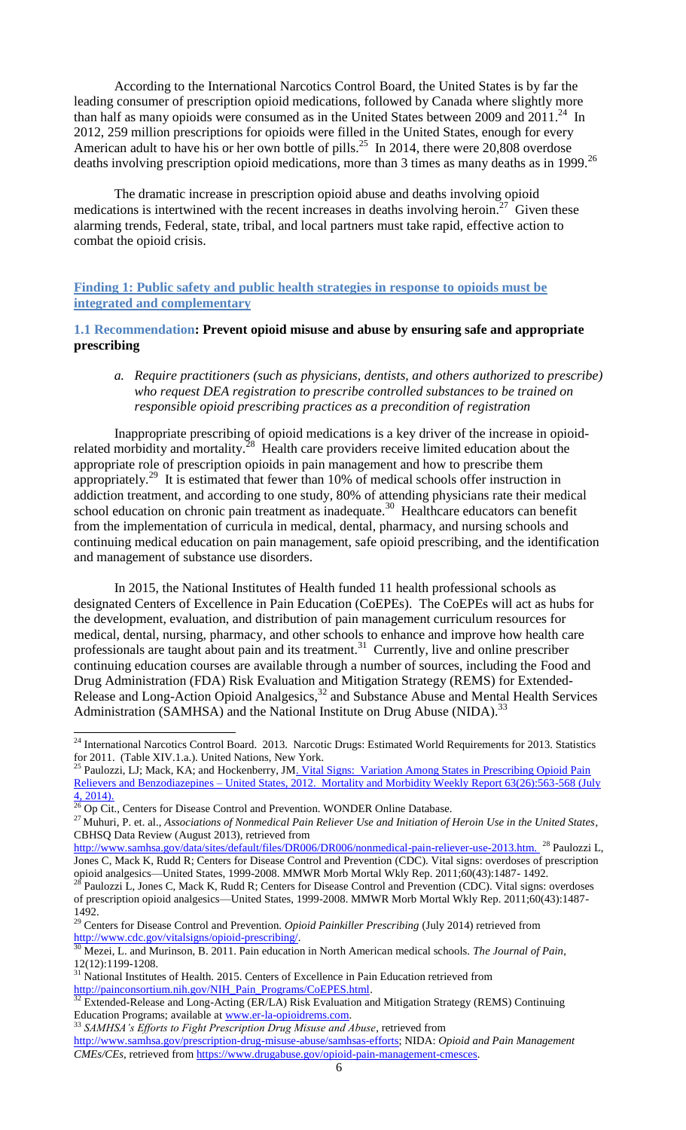According to the International Narcotics Control Board, the United States is by far the leading consumer of prescription opioid medications, followed by Canada where slightly more than half as many opioids were consumed as in the United States between 2009 and  $2011<sup>24</sup>$  In 2012, 259 million prescriptions for opioids were filled in the United States, enough for every American adult to have his or her own bottle of pills.<sup>25</sup> In 2014, there were 20,808 overdose deaths involving prescription opioid medications, more than 3 times as many deaths as in 1999. 26

The dramatic increase in prescription opioid abuse and deaths involving opioid medications is intertwined with the recent increases in deaths involving heroin.<sup>27</sup> Given these alarming trends, Federal, state, tribal, and local partners must take rapid, effective action to combat the opioid crisis.

### <span id="page-5-0"></span>**Finding 1: Public safety and public health strategies in response to opioids must be integrated and complementary**

#### <span id="page-5-1"></span>**1.1 Recommendation: Prevent opioid misuse and abuse by ensuring safe and appropriate prescribing**

#### <span id="page-5-2"></span>*a. Require practitioners (such as physicians, dentists, and others authorized to prescribe) who request DEA registration to prescribe controlled substances to be trained on responsible opioid prescribing practices as a precondition of registration*

Inappropriate prescribing of opioid medications is a key driver of the increase in opioidrelated morbidity and mortality.<sup>28</sup> Health care providers receive limited education about the appropriate role of prescription opioids in pain management and how to prescribe them appropriately.<sup>29</sup> It is estimated that fewer than 10% of medical schools offer instruction in addiction treatment, and according to one study, 80% of attending physicians rate their medical school education on chronic pain treatment as inadequate.<sup>30</sup> Healthcare educators can benefit from the implementation of curricula in medical, dental, pharmacy, and nursing schools and continuing medical education on pain management, safe opioid prescribing, and the identification and management of substance use disorders.

In 2015, the National Institutes of Health funded 11 health professional schools as designated Centers of Excellence in Pain Education (CoEPEs). The CoEPEs will act as hubs for the development, evaluation, and distribution of pain management curriculum resources for medical, dental, nursing, pharmacy, and other schools to enhance and improve how health care professionals are taught about pain and its treatment.<sup>31</sup> Currently, live and online prescriber continuing education courses are available through a number of sources, including the Food and Drug Administration (FDA) Risk Evaluation and Mitigation Strategy (REMS) for Extended-Release and Long-Action Opioid Analgesics,<sup>32</sup> and Substance Abuse and Mental Health Services Administration (SAMHSA) and the National Institute on Drug Abuse (NIDA).<sup>33</sup>

<sup>&</sup>lt;sup>24</sup> International Narcotics Control Board. 2013. Narcotic Drugs: Estimated World Requirements for 2013. Statistics for 2011. (Table XIV.1.a.). United Nations, New York.

<sup>&</sup>lt;sup>25</sup> Paulozzi, LJ; Mack, KA; and Hockenberry, JM<u>. Vital Signs: Variation Among States in Prescribing Opioid Pain</u> Relievers and Benzodiazepines – United States, 2012. Mortality and Morbidity Weekly Report 63(26):563-568 (July 4, 2014).

 $\frac{26}{26}$  Op Cit., Centers for Disease Control and Prevention. WONDER Online Database.

<sup>&</sup>lt;sup>27</sup> Muhuri, P. et. al., *Associations of Nonmedical Pain Reliever Use and Initiation of Heroin Use in the United States*, CBHSQ Data Review (August 2013), retrieved from

[http://www.samhsa.gov/data/sites/default/files/DR006/DR006/nonmedical-pain-reliever-use-2013.htm.](http://www.samhsa.gov/data/sites/default/files/DR006/DR006/nonmedical-pain-reliever-use-2013.htm) <sup>28</sup> Paulozzi L, Jones C, Mack K, Rudd R; Centers for Disease Control and Prevention (CDC). Vital signs: overdoses of prescription opioid analgesics—United States, 1999-2008. MMWR Morb Mortal Wkly Rep. 2011;60(43):1487- 1492.

 $^{28}$  Paulozzi L, Jones C, Mack K, Rudd R; Centers for Disease Control and Prevention (CDC). Vital signs: overdoses of prescription opioid analgesics—United States, 1999-2008. MMWR Morb Mortal Wkly Rep. 2011;60(43):1487- 1492.

<sup>29</sup> Centers for Disease Control and Prevention. *Opioid Painkiller Prescribing* (July 2014) retrieved from [http://www.cdc.gov/vitalsigns/opioid-prescribing/.](http://www.cdc.gov/vitalsigns/opioid-prescribing/)

<sup>30</sup> Mezei, L. and Murinson, B. 2011. Pain education in North American medical schools. *The Journal of Pain*, 12(12):1199-1208.

<sup>&</sup>lt;sup>31</sup> National Institutes of Health. 2015. Centers of Excellence in Pain Education retrieved from [http://painconsortium.nih.gov/NIH\\_Pain\\_Programs/CoEPES.html.](http://painconsortium.nih.gov/NIH_Pain_Programs/CoEPES.html)

 $32$  Extended-Release and Long-Acting (ER/LA) Risk Evaluation and Mitigation Strategy (REMS) Continuing Education Programs; available at [www.er-la-opioidrems.com.](http://www.er-la-opioidrems.com/)

<sup>33</sup> *SAMHSA's Efforts to Fight Prescription Drug Misuse and Abuse*, retrieved from

[http://www.samhsa.gov/prescription-drug-misuse-abuse/samhsas-efforts;](http://www.samhsa.gov/prescription-drug-misuse-abuse/samhsas-efforts) NIDA: *Opioid and Pain Management CMEs/CEs*, retrieved from [https://www.drugabuse.gov/opioid-pain-management-cmesces.](https://www.drugabuse.gov/opioid-pain-management-cmesces)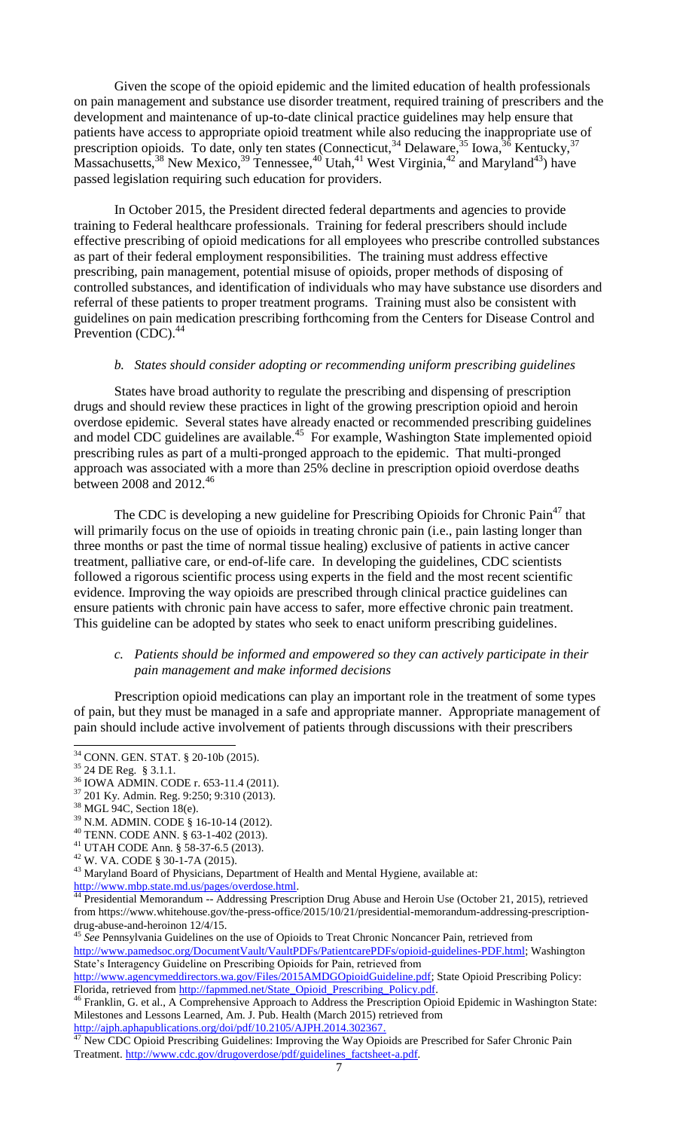Given the scope of the opioid epidemic and the limited education of health professionals on pain management and substance use disorder treatment, required training of prescribers and the development and maintenance of up-to-date clinical practice guidelines may help ensure that patients have access to appropriate opioid treatment while also reducing the inappropriate use of prescription opioids. To date, only ten states (Connecticut,  $34$  Delaware,  $35$  Iowa,  $36$  Kentucky,  $37$ Massachusetts,  $38$  New Mexico,  $39$  Tennessee,  $40$  Utah,  $41$  West Virginia,  $42$  and Maryland  $43$ ) have passed legislation requiring such education for providers.

In October 2015, the President directed federal departments and agencies to provide training to Federal healthcare professionals. Training for federal prescribers should include effective prescribing of opioid medications for all employees who prescribe controlled substances as part of their federal employment responsibilities. The training must address effective prescribing, pain management, potential misuse of opioids, proper methods of disposing of controlled substances, and identification of individuals who may have substance use disorders and referral of these patients to proper treatment programs. Training must also be consistent with guidelines on pain medication prescribing forthcoming from the Centers for Disease Control and Prevention (CDC).<sup>44</sup>

#### *b. States should consider adopting or recommending uniform prescribing guidelines*

<span id="page-6-0"></span>States have broad authority to regulate the prescribing and dispensing of prescription drugs and should review these practices in light of the growing prescription opioid and heroin overdose epidemic. Several states have already enacted or recommended prescribing guidelines and model CDC guidelines are available.<sup>45</sup> For example, Washington State implemented opioid prescribing rules as part of a multi-pronged approach to the epidemic. That multi-pronged approach was associated with a more than 25% decline in prescription opioid overdose deaths between 2008 and  $2012.<sup>46</sup>$ 

The CDC is developing a new guideline for Prescribing Opioids for Chronic Pain<sup>47</sup> that will primarily focus on the use of opioids in treating chronic pain (i.e., pain lasting longer than three months or past the time of normal tissue healing) exclusive of patients in active cancer treatment, palliative care, or end-of-life care. In developing the guidelines, CDC scientists followed a rigorous scientific process using experts in the field and the most recent scientific evidence. Improving the way opioids are prescribed through clinical practice guidelines can ensure patients with chronic pain have access to safer, more effective chronic pain treatment. This guideline can be adopted by states who seek to enact uniform prescribing guidelines.

#### <span id="page-6-1"></span>*c. Patients should be informed and empowered so they can actively participate in their pain management and make informed decisions*

Prescription opioid medications can play an important role in the treatment of some types of pain, but they must be managed in a safe and appropriate manner. Appropriate management of pain should include active involvement of patients through discussions with their prescribers

<sup>43</sup> Maryland Board of Physicians, Department of Health and Mental Hygiene, available at: [http://www.mbp.state.md.us/pages/overdose.html.](http://www.mbp.state.md.us/pages/overdose.html)

<sup>44</sup> Presidential Memorandum -- Addressing Prescription Drug Abuse and Heroin Use (October 21, 2015), retrieved from https://www.whitehouse.gov/the-press-office/2015/10/21/presidential-memorandum-addressing-prescriptiondrug-abuse-and-heroinon 12/4/15.

<sup>45</sup> *See* Pennsylvania Guidelines on the use of Opioids to Treat Chronic Noncancer Pain, retrieved from [http://www.pamedsoc.org/DocumentVault/VaultPDFs/PatientcarePDFs/opioid-guidelines-PDF.html;](http://www.pamedsoc.org/DocumentVault/VaultPDFs/PatientcarePDFs/opioid-guidelines-PDF.html) Washington State's Interagency Guideline on Prescribing Opioids for Pain, retrieved from

[http://www.agencymeddirectors.wa.gov/Files/2015AMDGOpioidGuideline.pdf;](http://www.agencymeddirectors.wa.gov/Files/2015AMDGOpioidGuideline.pdf) State Opioid Prescribing Policy: Florida, retrieved from [http://fapmmed.net/State\\_Opioid\\_Prescribing\\_Policy.pdf.](http://fapmmed.net/State_Opioid_Prescribing_Policy.pdf)

<sup>46</sup> Franklin, G. et al., A Comprehensive Approach to Address the Prescription Opioid Epidemic in Washington State: Milestones and Lessons Learned, Am. J. Pub. Health (March 2015) retrieved from [http://ajph.aphapublications.org/doi/pdf/10.2105/AJPH.2014.302367.](http://ajph.aphapublications.org/doi/pdf/10.2105/AJPH.2014.302367)

 $\frac{47}{47}$  New CDC Opioid Prescribing Guidelines: Improving the Way Opioids are Prescribed for Safer Chronic Pain Treatment. [http://www.cdc.gov/drugoverdose/pdf/guidelines\\_factsheet-a.pdf.](http://www.cdc.gov/drugoverdose/pdf/guidelines_factsheet-a.pdf)

 $\overline{\phantom{a}}$ <sup>34</sup> CONN. GEN. STAT. § 20-10b (2015).

<sup>35</sup> 24 DE Reg. § 3.1.1.

<sup>36</sup> IOWA ADMIN. CODE r. 653-11.4 (2011).

<sup>37</sup> 201 Ky. Admin. Reg. 9:250; 9:310 (2013).

<sup>&</sup>lt;sup>38</sup> MGL 94C, Section 18(e).

<sup>39</sup> N.M. ADMIN. CODE § 16-10-14 (2012).

<sup>40</sup> TENN. CODE ANN. § 63-1-402 (2013).

<sup>41</sup> UTAH CODE Ann. § 58-37-6.5 (2013).

<sup>42</sup> W. VA. CODE § 30-1-7A (2015).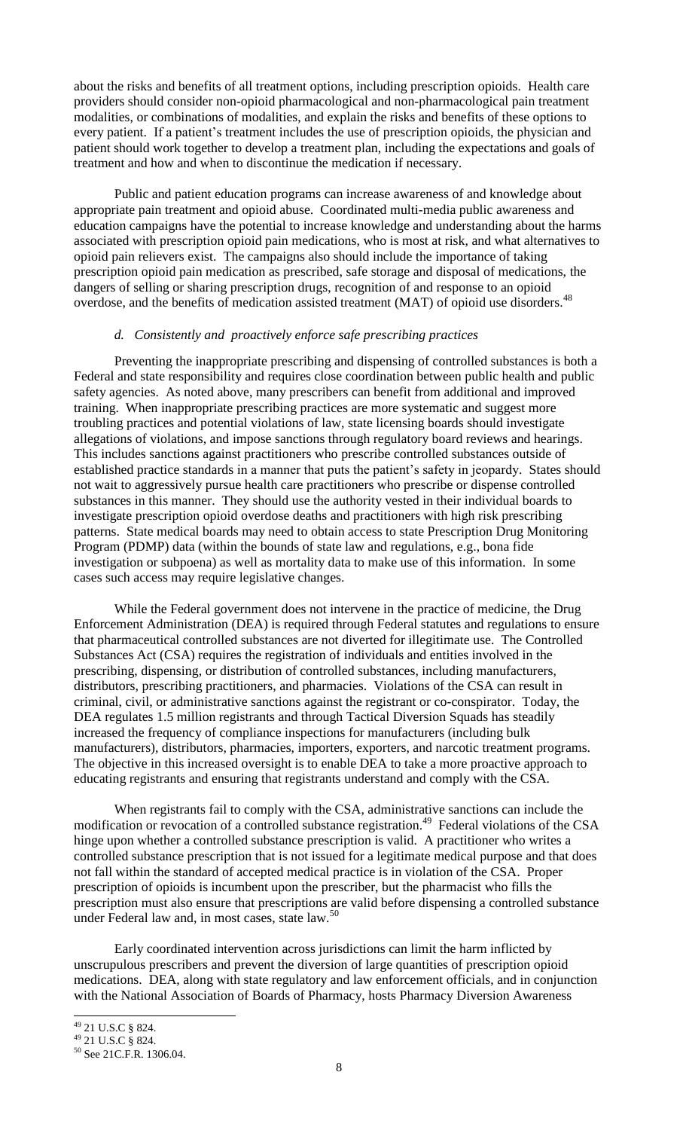about the risks and benefits of all treatment options, including prescription opioids. Health care providers should consider non-opioid pharmacological and non-pharmacological pain treatment modalities, or combinations of modalities, and explain the risks and benefits of these options to every patient. If a patient's treatment includes the use of prescription opioids, the physician and patient should work together to develop a treatment plan, including the expectations and goals of treatment and how and when to discontinue the medication if necessary.

Public and patient education programs can increase awareness of and knowledge about appropriate pain treatment and opioid abuse. Coordinated multi-media public awareness and education campaigns have the potential to increase knowledge and understanding about the harms associated with prescription opioid pain medications, who is most at risk, and what alternatives to opioid pain relievers exist. The campaigns also should include the importance of taking prescription opioid pain medication as prescribed, safe storage and disposal of medications, the dangers of selling or sharing prescription drugs, recognition of and response to an opioid overdose, and the benefits of medication assisted treatment (MAT) of opioid use disorders.<sup>48</sup>

#### *d. Consistently and proactively enforce safe prescribing practices*

<span id="page-7-0"></span>Preventing the inappropriate prescribing and dispensing of controlled substances is both a Federal and state responsibility and requires close coordination between public health and public safety agencies. As noted above, many prescribers can benefit from additional and improved training. When inappropriate prescribing practices are more systematic and suggest more troubling practices and potential violations of law, state licensing boards should investigate allegations of violations, and impose sanctions through regulatory board reviews and hearings. This includes sanctions against practitioners who prescribe controlled substances outside of established practice standards in a manner that puts the patient's safety in jeopardy. States should not wait to aggressively pursue health care practitioners who prescribe or dispense controlled substances in this manner. They should use the authority vested in their individual boards to investigate prescription opioid overdose deaths and practitioners with high risk prescribing patterns. State medical boards may need to obtain access to state Prescription Drug Monitoring Program (PDMP) data (within the bounds of state law and regulations, e.g., bona fide investigation or subpoena) as well as mortality data to make use of this information. In some cases such access may require legislative changes.

While the Federal government does not intervene in the practice of medicine, the Drug Enforcement Administration (DEA) is required through Federal statutes and regulations to ensure that pharmaceutical controlled substances are not diverted for illegitimate use. The Controlled Substances Act (CSA) requires the registration of individuals and entities involved in the prescribing, dispensing, or distribution of controlled substances, including manufacturers, distributors, prescribing practitioners, and pharmacies. Violations of the CSA can result in criminal, civil, or administrative sanctions against the registrant or co-conspirator. Today, the DEA regulates 1.5 million registrants and through Tactical Diversion Squads has steadily increased the frequency of compliance inspections for manufacturers (including bulk manufacturers), distributors, pharmacies, importers, exporters, and narcotic treatment programs. The objective in this increased oversight is to enable DEA to take a more proactive approach to educating registrants and ensuring that registrants understand and comply with the CSA.

When registrants fail to comply with the CSA, administrative sanctions can include the modification or revocation of a controlled substance registration.<sup>49</sup> Federal violations of the CSA hinge upon whether a controlled substance prescription is valid. A practitioner who writes a controlled substance prescription that is not issued for a legitimate medical purpose and that does not fall within the standard of accepted medical practice is in violation of the CSA. Proper prescription of opioids is incumbent upon the prescriber, but the pharmacist who fills the prescription must also ensure that prescriptions are valid before dispensing a controlled substance under Federal law and, in most cases, state law.<sup>50</sup>

Early coordinated intervention across jurisdictions can limit the harm inflicted by unscrupulous prescribers and prevent the diversion of large quantities of prescription opioid medications. DEA, along with state regulatory and law enforcement officials, and in conjunction with the National Association of Boards of Pharmacy, hosts Pharmacy Diversion Awareness

 $\overline{\phantom{a}}$ 

 $^{49}$  21 U.S.C § 824.

<sup>49</sup> 21 U.S.C § 824.

<sup>50</sup> See 21C.F.R. 1306.04.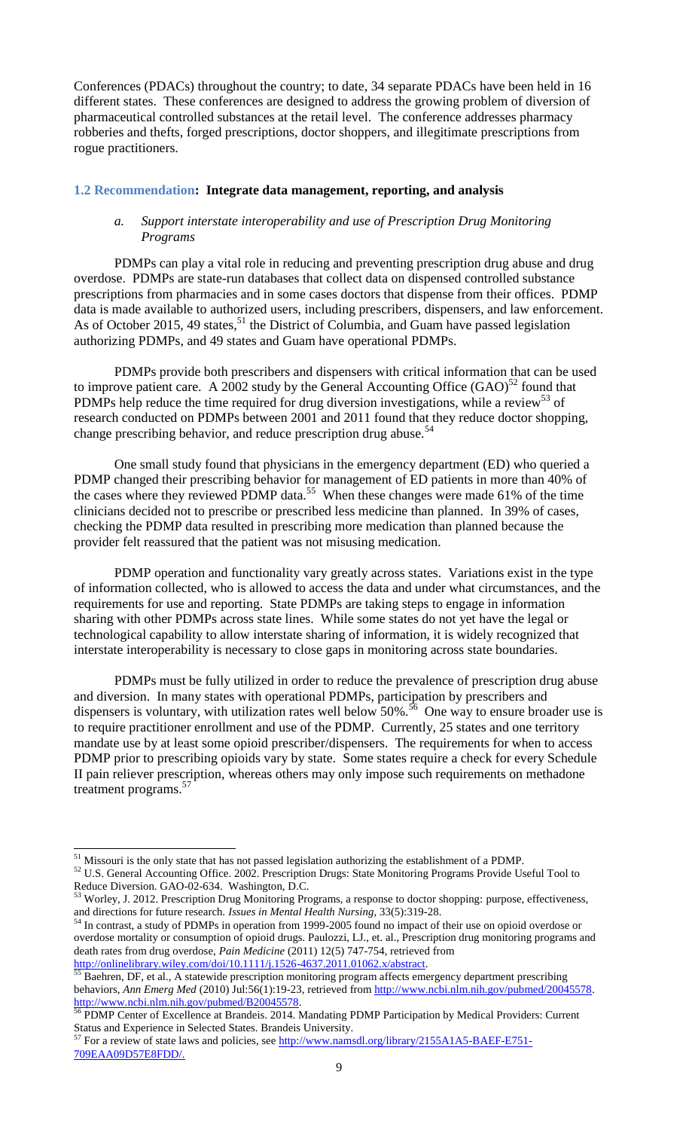Conferences (PDACs) throughout the country; to date, 34 separate PDACs have been held in 16 different states. These conferences are designed to address the growing problem of diversion of pharmaceutical controlled substances at the retail level. The conference addresses pharmacy robberies and thefts, forged prescriptions, doctor shoppers, and illegitimate prescriptions from rogue practitioners.

#### <span id="page-8-1"></span><span id="page-8-0"></span>**1.2 Recommendation: Integrate data management, reporting, and analysis**

#### *a. Support interstate interoperability and use of Prescription Drug Monitoring Programs*

PDMPs can play a vital role in reducing and preventing prescription drug abuse and drug overdose. PDMPs are state-run databases that collect data on dispensed controlled substance prescriptions from pharmacies and in some cases doctors that dispense from their offices. PDMP data is made available to authorized users, including prescribers, dispensers, and law enforcement. As of October 2015, 49 states,<sup>51</sup> the District of Columbia, and Guam have passed legislation authorizing PDMPs, and 49 states and Guam have operational PDMPs.

PDMPs provide both prescribers and dispensers with critical information that can be used to improve patient care. A 2002 study by the General Accounting Office  $(GAO)^{52}$  found that PDMPs help reduce the time required for drug diversion investigations, while a review<sup>53</sup> of research conducted on PDMPs between 2001 and 2011 found that they reduce doctor shopping, change prescribing behavior, and reduce prescription drug abuse.<sup>54</sup>

One small study found that physicians in the emergency department (ED) who queried a PDMP changed their prescribing behavior for management of ED patients in more than 40% of the cases where they reviewed PDMP data.<sup>55</sup> When these changes were made 61% of the time clinicians decided not to prescribe or prescribed less medicine than planned. In 39% of cases, checking the PDMP data resulted in prescribing more medication than planned because the provider felt reassured that the patient was not misusing medication.

PDMP operation and functionality vary greatly across states. Variations exist in the type of information collected, who is allowed to access the data and under what circumstances, and the requirements for use and reporting. State PDMPs are taking steps to engage in information sharing with other PDMPs across state lines. While some states do not yet have the legal or technological capability to allow interstate sharing of information, it is widely recognized that interstate interoperability is necessary to close gaps in monitoring across state boundaries.

PDMPs must be fully utilized in order to reduce the prevalence of prescription drug abuse and diversion. In many states with operational PDMPs, participation by prescribers and dispensers is voluntary, with utilization rates well below  $50\%$ .<sup>56</sup> One way to ensure broader use is to require practitioner enrollment and use of the PDMP. Currently, 25 states and one territory mandate use by at least some opioid prescriber/dispensers. The requirements for when to access PDMP prior to prescribing opioids vary by state. Some states require a check for every Schedule II pain reliever prescription, whereas others may only impose such requirements on methadone treatment programs.<sup>57</sup>

l  $51$  Missouri is the only state that has not passed legislation authorizing the establishment of a PDMP.

<sup>52</sup> U.S. General Accounting Office. 2002. Prescription Drugs: State Monitoring Programs Provide Useful Tool to Reduce Diversion. GAO-02-634. Washington, D.C.

<sup>&</sup>lt;sup>3</sup> Worley, J. 2012. Prescription Drug Monitoring Programs, a response to doctor shopping: purpose, effectiveness, and directions for future research. *Issues in Mental Health Nursing*, 33(5):319-28.

<sup>&</sup>lt;sup>54</sup> In contrast, a study of PDMPs in operation from 1999-2005 found no impact of their use on opioid overdose or overdose mortality or consumption of opioid drugs. Paulozzi, LJ., et. al., Prescription drug monitoring programs and death rates from drug overdose, *Pain Medicine* (2011) 12(5) 747-754, retrieved from [http://onlinelibrary.wiley.com/doi/10.1111/j.1526-4637.2011.01062.x/abstract.](http://onlinelibrary.wiley.com/doi/10.1111/j.1526-4637.2011.01062.x/abstract)

Baehren, DF, et al., A statewide prescription monitoring program affects emergency department prescribing behaviors, *Ann Emerg Med* (2010) Jul:56(1):19-23, retrieved from [http://www.ncbi.nlm.nih.gov/pubmed/20045578.](http://www.ncbi.nlm.nih.gov/pubmed/20045578) [http://www.ncbi.nlm.nih.gov/pubmed/B20045578.](http://www.ncbi.nlm.nih.gov/pubmed/B20045578)

<sup>&</sup>lt;sup>56</sup> PDMP Center of Excellence at Brandeis. 2014. Mandating PDMP Participation by Medical Providers: Current Status and Experience in Selected States. Brandeis University.

<sup>&</sup>lt;sup>57</sup> For a review of state laws and policies, see [http://www.namsdl.org/library/2155A1A5-BAEF-E751-](http://www.namsdl.org/library/2155A1A5-BAEF-E751-709EAA09D57E8FDD/) [709EAA09D57E8FDD/.](http://www.namsdl.org/library/2155A1A5-BAEF-E751-709EAA09D57E8FDD/)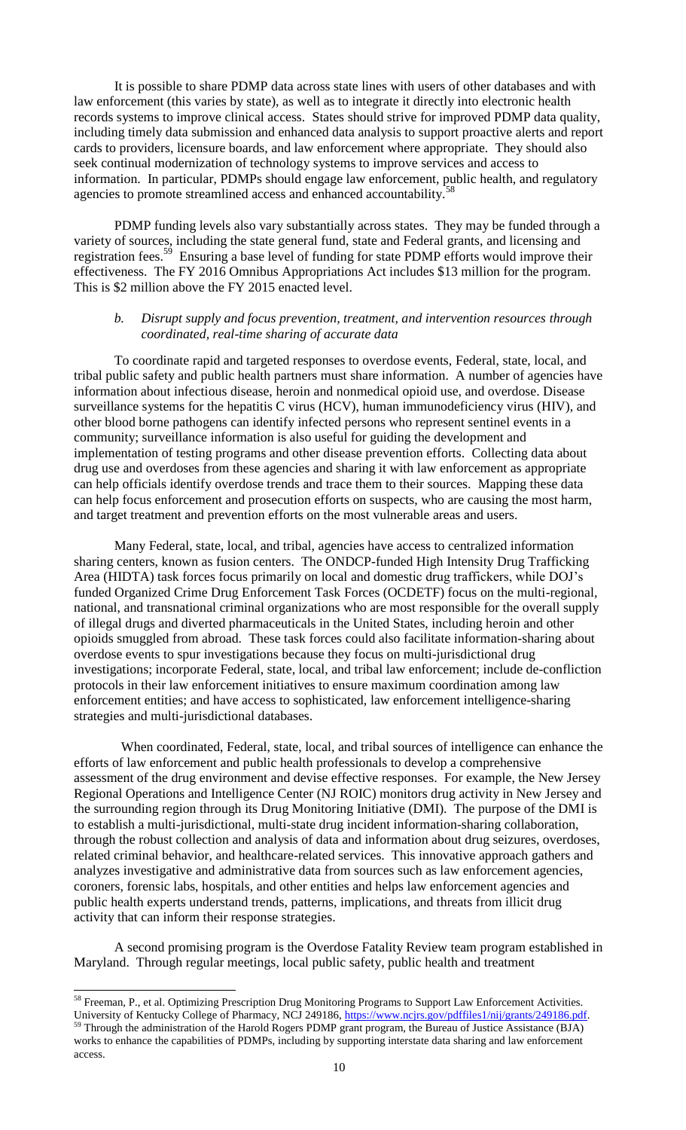It is possible to share PDMP data across state lines with users of other databases and with law enforcement (this varies by state), as well as to integrate it directly into electronic health records systems to improve clinical access. States should strive for improved PDMP data quality, including timely data submission and enhanced data analysis to support proactive alerts and report cards to providers, licensure boards, and law enforcement where appropriate. They should also seek continual modernization of technology systems to improve services and access to information. In particular, PDMPs should engage law enforcement, public health, and regulatory agencies to promote streamlined access and enhanced accountability.<sup>5</sup>

PDMP funding levels also vary substantially across states. They may be funded through a variety of sources, including the state general fund, state and Federal grants, and licensing and registration fees.<sup>59</sup> Ensuring a base level of funding for state PDMP efforts would improve their effectiveness. The FY 2016 Omnibus Appropriations Act includes \$13 million for the program. This is \$2 million above the FY 2015 enacted level.

#### <span id="page-9-0"></span>*b. Disrupt supply and focus prevention, treatment, and intervention resources through coordinated, real-time sharing of accurate data*

To coordinate rapid and targeted responses to overdose events, Federal, state, local, and tribal public safety and public health partners must share information. A number of agencies have information about infectious disease, heroin and nonmedical opioid use, and overdose. Disease surveillance systems for the hepatitis C virus (HCV), human immunodeficiency virus (HIV), and other blood borne pathogens can identify infected persons who represent sentinel events in a community; surveillance information is also useful for guiding the development and implementation of testing programs and other disease prevention efforts. Collecting data about drug use and overdoses from these agencies and sharing it with law enforcement as appropriate can help officials identify overdose trends and trace them to their sources. Mapping these data can help focus enforcement and prosecution efforts on suspects, who are causing the most harm, and target treatment and prevention efforts on the most vulnerable areas and users.

Many Federal, state, local, and tribal, agencies have access to centralized information sharing centers, known as fusion centers. The ONDCP-funded High Intensity Drug Trafficking Area (HIDTA) task forces focus primarily on local and domestic drug traffickers, while DOJ's funded Organized Crime Drug Enforcement Task Forces (OCDETF) focus on the multi-regional, national, and transnational criminal organizations who are most responsible for the overall supply of illegal drugs and diverted pharmaceuticals in the United States, including heroin and other opioids smuggled from abroad. These task forces could also facilitate information-sharing about overdose events to spur investigations because they focus on multi-jurisdictional drug investigations; incorporate Federal, state, local, and tribal law enforcement; include de-confliction protocols in their law enforcement initiatives to ensure maximum coordination among law enforcement entities; and have access to sophisticated, law enforcement intelligence-sharing strategies and multi-jurisdictional databases.

When coordinated, Federal, state, local, and tribal sources of intelligence can enhance the efforts of law enforcement and public health professionals to develop a comprehensive assessment of the drug environment and devise effective responses. For example, the New Jersey Regional Operations and Intelligence Center (NJ ROIC) monitors drug activity in New Jersey and the surrounding region through its Drug Monitoring Initiative (DMI). The purpose of the DMI is to establish a multi-jurisdictional, multi-state drug incident information-sharing collaboration, through the robust collection and analysis of data and information about drug seizures, overdoses, related criminal behavior, and healthcare-related services. This innovative approach gathers and analyzes investigative and administrative data from sources such as law enforcement agencies, coroners, forensic labs, hospitals, and other entities and helps law enforcement agencies and public health experts understand trends, patterns, implications, and threats from illicit drug activity that can inform their response strategies.

A second promising program is the Overdose Fatality Review team program established in Maryland. Through regular meetings, local public safety, public health and treatment

<sup>&</sup>lt;sup>58</sup> Freeman, P., et al. Optimizing Prescription Drug Monitoring Programs to Support Law Enforcement Activities. University of Kentucky College of Pharmacy, NCJ 249186, [https://www.ncjrs.gov/pdffiles1/nij/grants/249186.pdf.](https://www.ncjrs.gov/pdffiles1/nij/grants/249186.pdf) <sup>59</sup> Through the administration of the Harold Rogers PDMP grant program, the Bureau of Justice Assistance (BJA) works to enhance the capabilities of PDMPs, including by supporting interstate data sharing and law enforcement access.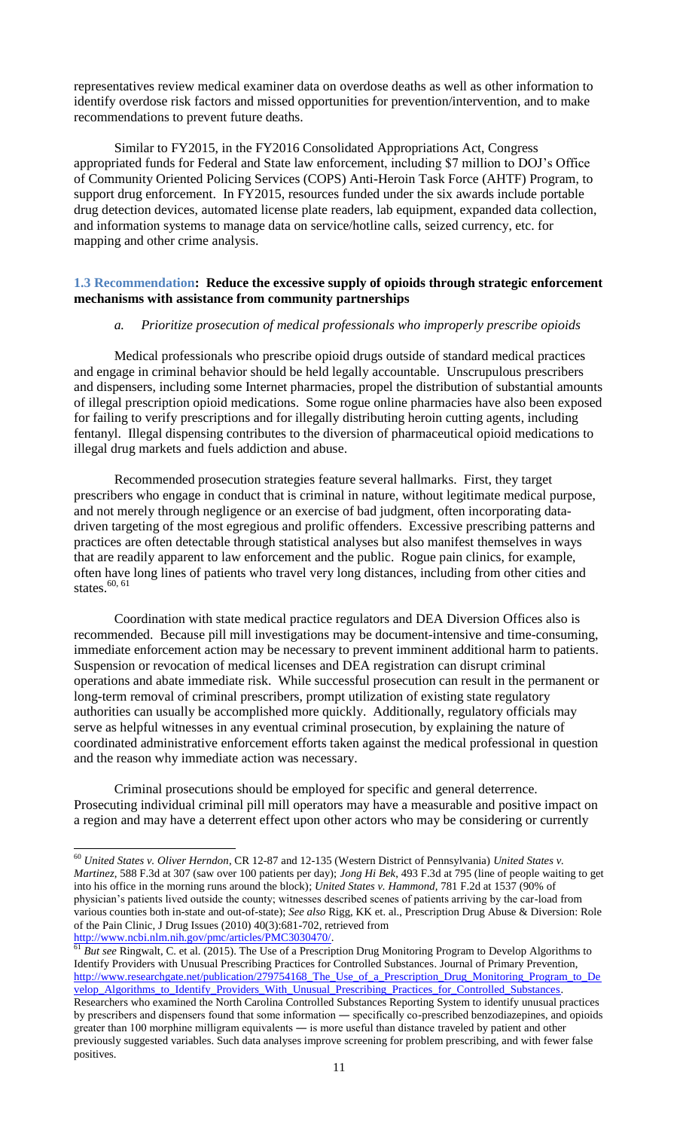representatives review medical examiner data on overdose deaths as well as other information to identify overdose risk factors and missed opportunities for prevention/intervention, and to make recommendations to prevent future deaths.

Similar to FY2015, in the FY2016 Consolidated Appropriations Act, Congress appropriated funds for Federal and State law enforcement, including \$7 million to DOJ's Office of Community Oriented Policing Services (COPS) Anti-Heroin Task Force (AHTF) Program, to support drug enforcement. In FY2015, resources funded under the six awards include portable drug detection devices, automated license plate readers, lab equipment, expanded data collection, and information systems to manage data on service/hotline calls, seized currency, etc. for mapping and other crime analysis.

#### <span id="page-10-1"></span><span id="page-10-0"></span>**1.3 Recommendation: Reduce the excessive supply of opioids through strategic enforcement mechanisms with assistance from community partnerships**

#### *a. Prioritize prosecution of medical professionals who improperly prescribe opioids*

Medical professionals who prescribe opioid drugs outside of standard medical practices and engage in criminal behavior should be held legally accountable. Unscrupulous prescribers and dispensers, including some Internet pharmacies, propel the distribution of substantial amounts of illegal prescription opioid medications. Some rogue online pharmacies have also been exposed for failing to verify prescriptions and for illegally distributing heroin cutting agents, including fentanyl. Illegal dispensing contributes to the diversion of pharmaceutical opioid medications to illegal drug markets and fuels addiction and abuse.

Recommended prosecution strategies feature several hallmarks. First, they target prescribers who engage in conduct that is criminal in nature, without legitimate medical purpose, and not merely through negligence or an exercise of bad judgment, often incorporating datadriven targeting of the most egregious and prolific offenders. Excessive prescribing patterns and practices are often detectable through statistical analyses but also manifest themselves in ways that are readily apparent to law enforcement and the public. Rogue pain clinics, for example, often have long lines of patients who travel very long distances, including from other cities and states. $60, 61$ 

Coordination with state medical practice regulators and DEA Diversion Offices also is recommended. Because pill mill investigations may be document-intensive and time-consuming, immediate enforcement action may be necessary to prevent imminent additional harm to patients. Suspension or revocation of medical licenses and DEA registration can disrupt criminal operations and abate immediate risk. While successful prosecution can result in the permanent or long-term removal of criminal prescribers, prompt utilization of existing state regulatory authorities can usually be accomplished more quickly. Additionally, regulatory officials may serve as helpful witnesses in any eventual criminal prosecution, by explaining the nature of coordinated administrative enforcement efforts taken against the medical professional in question and the reason why immediate action was necessary.

Criminal prosecutions should be employed for specific and general deterrence. Prosecuting individual criminal pill mill operators may have a measurable and positive impact on a region and may have a deterrent effect upon other actors who may be considering or currently

<sup>60</sup> *United States v. Oliver Herndon*, CR 12-87 and 12-135 (Western District of Pennsylvania) *United States v. Martinez*, 588 F.3d at 307 (saw over 100 patients per day); *Jong Hi Bek*, 493 F.3d at 795 (line of people waiting to get into his office in the morning runs around the block); *United States v. Hammond,* 781 F.2d at 1537 (90% of physician's patients lived outside the county; witnesses described scenes of patients arriving by the car-load from various counties both in-state and out-of-state); *See also* Rigg, KK et. al., Prescription Drug Abuse & Diversion: Role of the Pain Clinic, J Drug Issues (2010) 40(3):681-702, retrieved from [http://www.ncbi.nlm.nih.gov/pmc/articles/PMC3030470/.](http://www.ncbi.nlm.nih.gov/pmc/articles/PMC3030470/)

<sup>61</sup> *But see* Ringwalt, C. et al. (2015). The Use of a Prescription Drug Monitoring Program to Develop Algorithms to Identify Providers with Unusual Prescribing Practices for Controlled Substances. Journal of Primary Prevention, [http://www.researchgate.net/publication/279754168\\_The\\_Use\\_of\\_a\\_Prescription\\_Drug\\_Monitoring\\_Program\\_to\\_De](http://www.researchgate.net/publication/279754168_The_Use_of_a_Prescription_Drug_Monitoring_Program_to_Develop_Algorithms_to_Identify_Providers_With_Unusual_Prescribing_Practices_for_Controlled_Substances) velop\_Algorithms\_to\_Identify\_Providers\_With\_Unusual\_Prescribing\_Practices\_for\_Controlled\_Substances. Researchers who examined the North Carolina Controlled Substances Reporting System to identify unusual practices by prescribers and dispensers found that some information ― specifically co-prescribed benzodiazepines, and opioids greater than 100 morphine milligram equivalents ― is more useful than distance traveled by patient and other previously suggested variables. Such data analyses improve screening for problem prescribing, and with fewer false positives.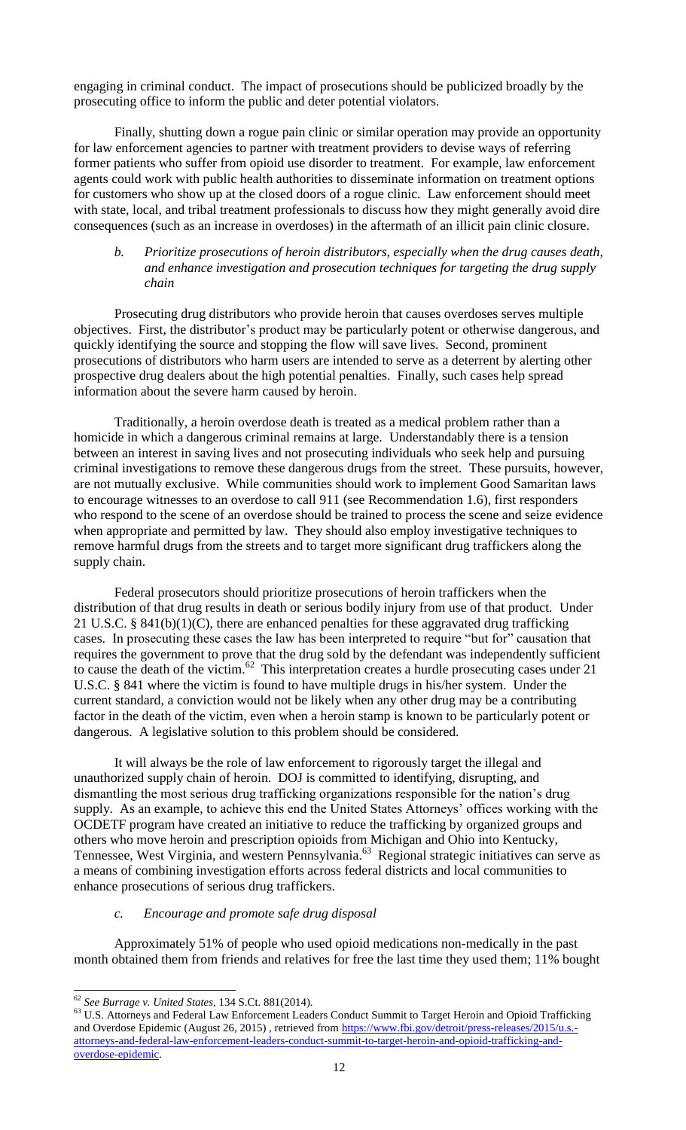engaging in criminal conduct. The impact of prosecutions should be publicized broadly by the prosecuting office to inform the public and deter potential violators.

Finally, shutting down a rogue pain clinic or similar operation may provide an opportunity for law enforcement agencies to partner with treatment providers to devise ways of referring former patients who suffer from opioid use disorder to treatment. For example, law enforcement agents could work with public health authorities to disseminate information on treatment options for customers who show up at the closed doors of a rogue clinic. Law enforcement should meet with state, local, and tribal treatment professionals to discuss how they might generally avoid dire consequences (such as an increase in overdoses) in the aftermath of an illicit pain clinic closure.

#### <span id="page-11-0"></span>*b. Prioritize prosecutions of heroin distributors, especially when the drug causes death, and enhance investigation and prosecution techniques for targeting the drug supply chain*

Prosecuting drug distributors who provide heroin that causes overdoses serves multiple objectives. First, the distributor's product may be particularly potent or otherwise dangerous, and quickly identifying the source and stopping the flow will save lives. Second, prominent prosecutions of distributors who harm users are intended to serve as a deterrent by alerting other prospective drug dealers about the high potential penalties. Finally, such cases help spread information about the severe harm caused by heroin.

Traditionally, a heroin overdose death is treated as a medical problem rather than a homicide in which a dangerous criminal remains at large. Understandably there is a tension between an interest in saving lives and not prosecuting individuals who seek help and pursuing criminal investigations to remove these dangerous drugs from the street. These pursuits, however, are not mutually exclusive. While communities should work to implement Good Samaritan laws to encourage witnesses to an overdose to call 911 (see Recommendation 1.6), first responders who respond to the scene of an overdose should be trained to process the scene and seize evidence when appropriate and permitted by law. They should also employ investigative techniques to remove harmful drugs from the streets and to target more significant drug traffickers along the supply chain.

Federal prosecutors should prioritize prosecutions of heroin traffickers when the distribution of that drug results in death or serious bodily injury from use of that product. Under 21 U.S.C. § 841(b)(1)(C), there are enhanced penalties for these aggravated drug trafficking cases. In prosecuting these cases the law has been interpreted to require "but for" causation that requires the government to prove that the drug sold by the defendant was independently sufficient to cause the death of the victim.<sup>62</sup> This interpretation creates a hurdle prosecuting cases under 21 U.S.C. § 841 where the victim is found to have multiple drugs in his/her system. Under the current standard, a conviction would not be likely when any other drug may be a contributing factor in the death of the victim, even when a heroin stamp is known to be particularly potent or dangerous. A legislative solution to this problem should be considered.

It will always be the role of law enforcement to rigorously target the illegal and unauthorized supply chain of heroin. DOJ is committed to identifying, disrupting, and dismantling the most serious drug trafficking organizations responsible for the nation's drug supply. As an example, to achieve this end the United States Attorneys' offices working with the OCDETF program have created an initiative to reduce the trafficking by organized groups and others who move heroin and prescription opioids from Michigan and Ohio into Kentucky, Tennessee, West Virginia, and western Pennsylvania.<sup>63</sup> Regional strategic initiatives can serve as a means of combining investigation efforts across federal districts and local communities to enhance prosecutions of serious drug traffickers.

#### *c. Encourage and promote safe drug disposal*

<span id="page-11-1"></span>Approximately 51% of people who used opioid medications non-medically in the past month obtained them from friends and relatives for free the last time they used them; 11% bought

<sup>62</sup> *See Burrage v. United States*, 134 S.Ct. 881(2014).

<sup>&</sup>lt;sup>63</sup> U.S. Attorneys and Federal Law Enforcement Leaders Conduct Summit to Target Heroin and Opioid Trafficking and Overdose Epidemic (August 26, 2015), retrieved from [https://www.fbi.gov/detroit/press-releases/2015/u.s.](https://www.fbi.gov/detroit/press-releases/2015/u.s.-attorneys-and-federal-law-enforcement-leaders-conduct-summit-to-target-heroin-and-opioid-trafficking-and-overdose-epidemic) [attorneys-and-federal-law-enforcement-leaders-conduct-summit-to-target-heroin-and-opioid-trafficking-and](https://www.fbi.gov/detroit/press-releases/2015/u.s.-attorneys-and-federal-law-enforcement-leaders-conduct-summit-to-target-heroin-and-opioid-trafficking-and-overdose-epidemic)[overdose-epidemic.](https://www.fbi.gov/detroit/press-releases/2015/u.s.-attorneys-and-federal-law-enforcement-leaders-conduct-summit-to-target-heroin-and-opioid-trafficking-and-overdose-epidemic)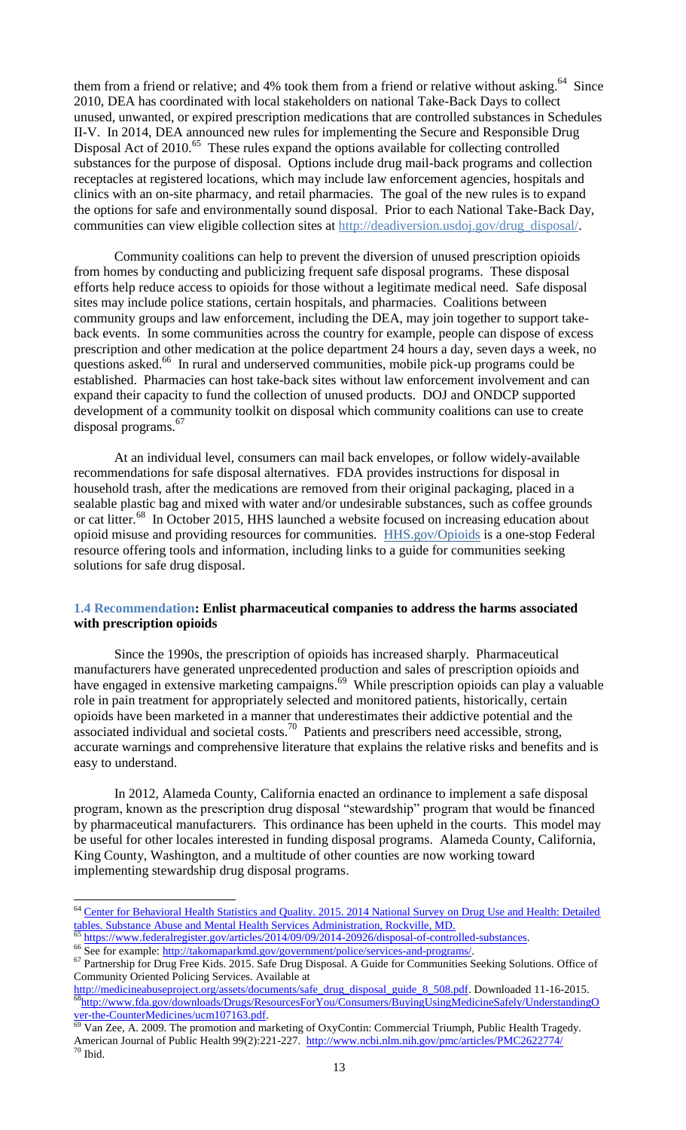them from a friend or relative; and 4% took them from a friend or relative without asking.<sup>64</sup> Since 2010, DEA has coordinated with local stakeholders on national Take-Back Days to collect unused, unwanted, or expired prescription medications that are controlled substances in Schedules II-V. In 2014, DEA announced new rules for implementing the Secure and Responsible Drug Disposal Act of 2010.<sup>65</sup> These rules expand the options available for collecting controlled substances for the purpose of disposal. Options include drug mail-back programs and collection receptacles at registered locations, which may include law enforcement agencies, hospitals and clinics with an on-site pharmacy, and retail pharmacies. The goal of the new rules is to expand the options for safe and environmentally sound disposal. Prior to each National Take-Back Day, communities can view eligible collection sites at [http://deadiversion.usdoj.gov/drug\\_disposal/.](http://deadiversion.usdoj.gov/drug_disposal/)

Community coalitions can help to prevent the diversion of unused prescription opioids from homes by conducting and publicizing frequent safe disposal programs. These disposal efforts help reduce access to opioids for those without a legitimate medical need. Safe disposal sites may include police stations, certain hospitals, and pharmacies. Coalitions between community groups and law enforcement, including the DEA, may join together to support takeback events. In some communities across the country for example, people can dispose of excess prescription and other medication at the police department 24 hours a day, seven days a week, no questions asked.<sup>66</sup> In rural and underserved communities, mobile pick-up programs could be established. Pharmacies can host take-back sites without law enforcement involvement and can expand their capacity to fund the collection of unused products. DOJ and ONDCP supported development of a community toolkit on disposal which community coalitions can use to create disposal programs.<sup>67</sup>

At an individual level, consumers can mail back envelopes, or follow widely-available recommendations for safe disposal alternatives. FDA provides instructions for disposal in household trash, after the medications are removed from their original packaging, placed in a sealable plastic bag and mixed with water and/or undesirable substances, such as coffee grounds or cat litter.<sup>68</sup> In October 2015, HHS launched a website focused on increasing education about opioid misuse and providing resources for communities. [HHS.gov/Opioids](file:///C:/Users/caporizzo_c/AppData/Local/Microsoft/Windows/Temporary%20Internet%20Files/Content.Outlook/2UYS9AL0/%3ehttp:/click.mail.whitehouse.gov/%3fqs=f4586e15a22f4df7c4f7e142fa030a32ade6164ba61b8566880ffe19761fb207e5e8d3307fc54a09%3c) is a one-stop Federal resource offering tools and information, including links to a guide for communities seeking solutions for safe drug disposal.

#### <span id="page-12-0"></span>**1.4 Recommendation: Enlist pharmaceutical companies to address the harms associated with prescription opioids**

Since the 1990s, the prescription of opioids has increased sharply. Pharmaceutical manufacturers have generated unprecedented production and sales of prescription opioids and have engaged in extensive marketing campaigns.<sup>69</sup> While prescription opioids can play a valuable role in pain treatment for appropriately selected and monitored patients, historically, certain opioids have been marketed in a manner that underestimates their addictive potential and the associated individual and societal costs.<sup>70</sup> Patients and prescribers need accessible, strong, accurate warnings and comprehensive literature that explains the relative risks and benefits and is easy to understand.

In 2012, Alameda County, California enacted an ordinance to implement a safe disposal program, known as the prescription drug disposal "stewardship" program that would be financed by pharmaceutical manufacturers. This ordinance has been upheld in the courts. This model may be useful for other locales interested in funding disposal programs. Alameda County, California, King County, Washington, and a multitude of other counties are now working toward implementing stewardship drug disposal programs.

 $\overline{\phantom{a}}$ 

<sup>&</sup>lt;sup>64</sup> Center for Behavioral Health Statistics and Quality. 2015. 2014 National Survey on Drug Use and Health: Detailed tables. Substance Abuse and Mental Health Services Administration, Rockville, MD.

https://www.federalregister.gov/articles/2014/09/09/2014-20926/disposal-of-controlled-substances.

<sup>66</sup> See for example: [http://takomaparkmd.gov/government/police/services-and-programs/.](http://takomaparkmd.gov/government/police/services-and-programs/)

<sup>&</sup>lt;sup>67</sup> Partnership for Drug Free Kids. 2015. Safe Drug Disposal. A Guide for Communities Seeking Solutions. Office of Community Oriented Policing Services. Available at

[http://medicineabuseproject.org/assets/documents/safe\\_drug\\_disposal\\_guide\\_8\\_508.pdf.](http://medicineabuseproject.org/assets/documents/safe_drug_disposal_guide_8_508.pdf) Downloaded 11-16-2015. <sup>68</sup>[http://www.fda.gov/downloads/Drugs/ResourcesForYou/Consumers/BuyingUsingMedicineSafely/UnderstandingO](http://www.fda.gov/downloads/Drugs/ResourcesForYou/Consumers/BuyingUsingMedicineSafely/UnderstandingOver-the-CounterMedicines/ucm107163.pdf) ver-the-CounterMedicines/ucm107163.pdf.

Van Zee, A. 2009. The promotion and marketing of OxyContin: Commercial Triumph, Public Health Tragedy. American Journal of Public Health 99(2):221-227. <http://www.ncbi.nlm.nih.gov/pmc/articles/PMC2622774/>  $70$  Ibid.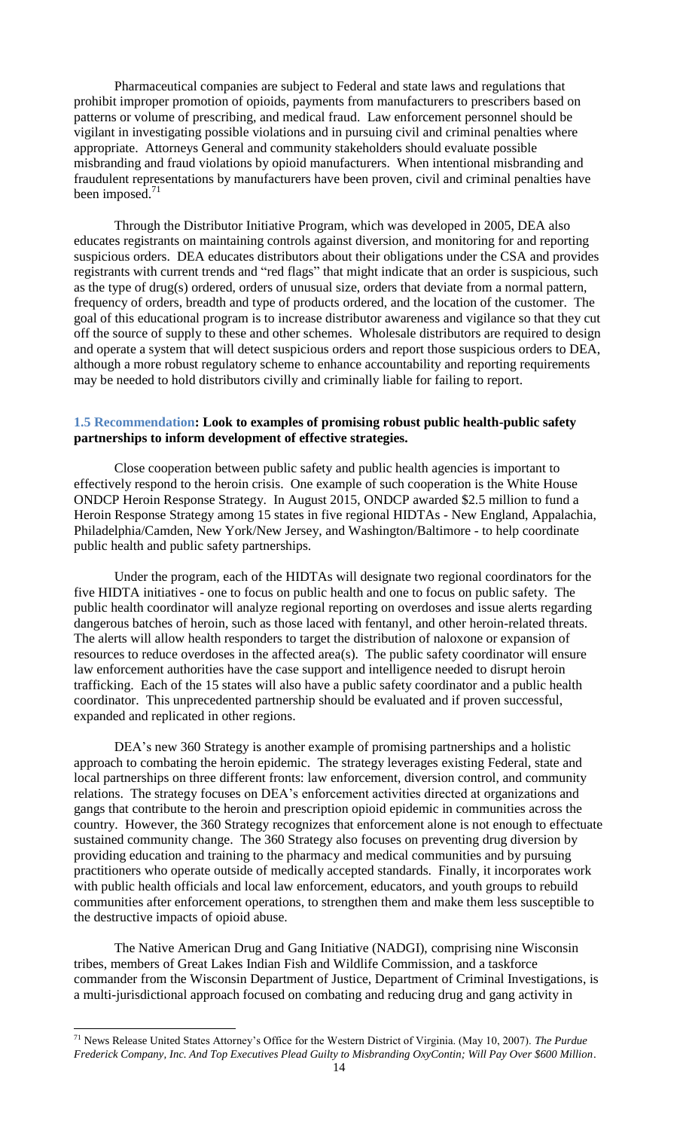Pharmaceutical companies are subject to Federal and state laws and regulations that prohibit improper promotion of opioids, payments from manufacturers to prescribers based on patterns or volume of prescribing, and medical fraud. Law enforcement personnel should be vigilant in investigating possible violations and in pursuing civil and criminal penalties where appropriate. Attorneys General and community stakeholders should evaluate possible misbranding and fraud violations by opioid manufacturers. When intentional misbranding and fraudulent representations by manufacturers have been proven, civil and criminal penalties have been imposed.<sup>71</sup>

Through the Distributor Initiative Program, which was developed in 2005, DEA also educates registrants on maintaining controls against diversion, and monitoring for and reporting suspicious orders. DEA educates distributors about their obligations under the CSA and provides registrants with current trends and "red flags" that might indicate that an order is suspicious, such as the type of drug(s) ordered, orders of unusual size, orders that deviate from a normal pattern, frequency of orders, breadth and type of products ordered, and the location of the customer. The goal of this educational program is to increase distributor awareness and vigilance so that they cut off the source of supply to these and other schemes. Wholesale distributors are required to design and operate a system that will detect suspicious orders and report those suspicious orders to DEA, although a more robust regulatory scheme to enhance accountability and reporting requirements may be needed to hold distributors civilly and criminally liable for failing to report.

#### <span id="page-13-0"></span>**1.5 Recommendation: Look to examples of promising robust public health-public safety partnerships to inform development of effective strategies.**

Close cooperation between public safety and public health agencies is important to effectively respond to the heroin crisis. One example of such cooperation is the White House ONDCP Heroin Response Strategy. In August 2015, ONDCP awarded \$2.5 million to fund a Heroin Response Strategy among 15 states in five regional HIDTAs - New England, Appalachia, Philadelphia/Camden, New York/New Jersey, and Washington/Baltimore - to help coordinate public health and public safety partnerships.

Under the program, each of the HIDTAs will designate two regional coordinators for the five HIDTA initiatives - one to focus on public health and one to focus on public safety. The public health coordinator will analyze regional reporting on overdoses and issue alerts regarding dangerous batches of heroin, such as those laced with fentanyl, and other heroin-related threats. The alerts will allow health responders to target the distribution of naloxone or expansion of resources to reduce overdoses in the affected area(s). The public safety coordinator will ensure law enforcement authorities have the case support and intelligence needed to disrupt heroin trafficking. Each of the 15 states will also have a public safety coordinator and a public health coordinator. This unprecedented partnership should be evaluated and if proven successful, expanded and replicated in other regions.

DEA's new 360 Strategy is another example of promising partnerships and a holistic approach to combating the heroin epidemic. The strategy leverages existing Federal, state and local partnerships on three different fronts: law enforcement, diversion control, and community relations. The strategy focuses on DEA's enforcement activities directed at organizations and gangs that contribute to the heroin and prescription opioid epidemic in communities across the country. However, the 360 Strategy recognizes that enforcement alone is not enough to effectuate sustained community change. The 360 Strategy also focuses on preventing drug diversion by providing education and training to the pharmacy and medical communities and by pursuing practitioners who operate outside of medically accepted standards. Finally, it incorporates work with public health officials and local law enforcement, educators, and youth groups to rebuild communities after enforcement operations, to strengthen them and make them less susceptible to the destructive impacts of opioid abuse.

The Native American Drug and Gang Initiative (NADGI), comprising nine Wisconsin tribes, members of Great Lakes Indian Fish and Wildlife Commission, and a taskforce commander from the Wisconsin Department of Justice, Department of Criminal Investigations, is a multi-jurisdictional approach focused on combating and reducing drug and gang activity in

 $\overline{\phantom{a}}$ 

<sup>71</sup> News Release United States Attorney's Office for the Western District of Virginia. (May 10, 2007). *The Purdue Frederick Company, Inc. And Top Executives Plead Guilty to Misbranding OxyContin; Will Pay Over \$600 Million*.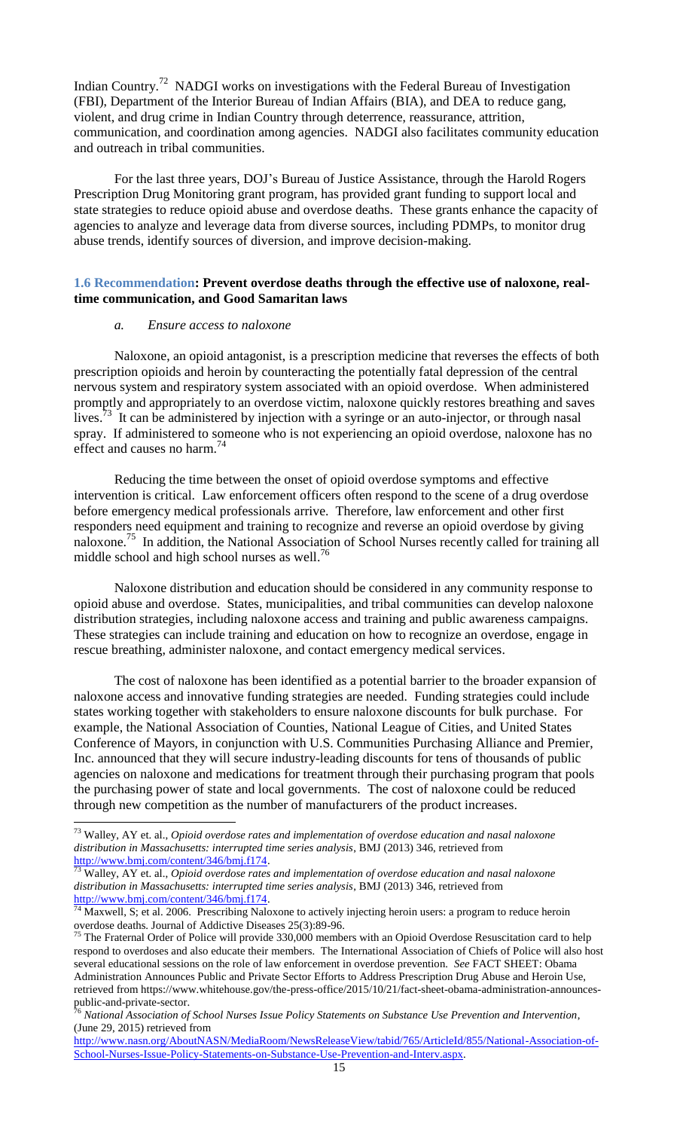Indian Country.<sup>72</sup> NADGI works on investigations with the Federal Bureau of Investigation (FBI), Department of the Interior Bureau of Indian Affairs (BIA), and DEA to reduce gang, violent, and drug crime in Indian Country through deterrence, reassurance, attrition, communication, and coordination among agencies. NADGI also facilitates community education and outreach in tribal communities.

For the last three years, DOJ's Bureau of Justice Assistance, through the Harold Rogers Prescription Drug Monitoring grant program, has provided grant funding to support local and state strategies to reduce opioid abuse and overdose deaths. These grants enhance the capacity of agencies to analyze and leverage data from diverse sources, including PDMPs, to monitor drug abuse trends, identify sources of diversion, and improve decision-making.

#### <span id="page-14-1"></span><span id="page-14-0"></span>**1.6 Recommendation: Prevent overdose deaths through the effective use of naloxone, realtime communication, and Good Samaritan laws**

#### *a. Ensure access to naloxone*

 $\overline{\phantom{a}}$ 

Naloxone, an opioid antagonist, is a prescription medicine that reverses the effects of both prescription opioids and heroin by counteracting the potentially fatal depression of the central nervous system and respiratory system associated with an opioid overdose. When administered promptly and appropriately to an overdose victim, naloxone quickly restores breathing and saves lives.<sup>73</sup> It can be administered by injection with a syringe or an auto-injector, or through nasal spray. If administered to someone who is not experiencing an opioid overdose, naloxone has no effect and causes no harm.<sup>74</sup>

Reducing the time between the onset of opioid overdose symptoms and effective intervention is critical. Law enforcement officers often respond to the scene of a drug overdose before emergency medical professionals arrive. Therefore, law enforcement and other first responders need equipment and training to recognize and reverse an opioid overdose by giving naloxone.<sup>75</sup> In addition, the National Association of School Nurses recently called for training all middle school and high school nurses as well.<sup>76</sup>

Naloxone distribution and education should be considered in any community response to opioid abuse and overdose. States, municipalities, and tribal communities can develop naloxone distribution strategies, including naloxone access and training and public awareness campaigns. These strategies can include training and education on how to recognize an overdose, engage in rescue breathing, administer naloxone, and contact emergency medical services.

The cost of naloxone has been identified as a potential barrier to the broader expansion of naloxone access and innovative funding strategies are needed. Funding strategies could include states working together with stakeholders to ensure naloxone discounts for bulk purchase. For example, the National Association of Counties, National League of Cities, and United States Conference of Mayors, in conjunction with U.S. Communities Purchasing Alliance and Premier, Inc. announced that they will secure industry-leading discounts for tens of thousands of public agencies on naloxone and medications for treatment through their purchasing program that pools the purchasing power of state and local governments. The cost of naloxone could be reduced through new competition as the number of manufacturers of the product increases.

[http://www.nasn.org/AboutNASN/MediaRoom/NewsReleaseView/tabid/765/ArticleId/855/National-Association-of-](http://www.nasn.org/AboutNASN/MediaRoom/NewsReleaseView/tabid/765/ArticleId/855/National-Association-of-School-Nurses-Issue-Policy-Statements-on-Substance-Use-Prevention-and-Interv.aspx)[School-Nurses-Issue-Policy-Statements-on-Substance-Use-Prevention-and-Interv.aspx.](http://www.nasn.org/AboutNASN/MediaRoom/NewsReleaseView/tabid/765/ArticleId/855/National-Association-of-School-Nurses-Issue-Policy-Statements-on-Substance-Use-Prevention-and-Interv.aspx)

<sup>73</sup> Walley, AY et. al., *Opioid overdose rates and implementation of overdose education and nasal naloxone distribution in Massachusetts: interrupted time series analysis*, BMJ (2013) 346, retrieved from [http://www.bmj.com/content/346/bmj.f174.](http://www.bmj.com/content/346/bmj.f174)

<sup>73</sup> Walley, AY et. al., *Opioid overdose rates and implementation of overdose education and nasal naloxone distribution in Massachusetts: interrupted time series analysis*, BMJ (2013) 346, retrieved from http://www.bmj.com/content/346/bmj.f174.

Maxwell, S; et al. 2006. Prescribing Naloxone to actively injecting heroin users: a program to reduce heroin overdose deaths. Journal of Addictive Diseases 25(3):89-96.

<sup>&</sup>lt;sup>75</sup> The Fraternal Order of Police will provide  $330,000$  members with an Opioid Overdose Resuscitation card to help respond to overdoses and also educate their members. The International Association of Chiefs of Police will also host several educational sessions on the role of law enforcement in overdose prevention. *See* FACT SHEET: Obama Administration Announces Public and Private Sector Efforts to Address Prescription Drug Abuse and Heroin Use, retrieved from https://www.whitehouse.gov/the-press-office/2015/10/21/fact-sheet-obama-administration-announcespublic-and-private-sector.

<sup>76</sup> *National Association of School Nurses Issue Policy Statements on Substance Use Prevention and Intervention*, (June 29, 2015) retrieved from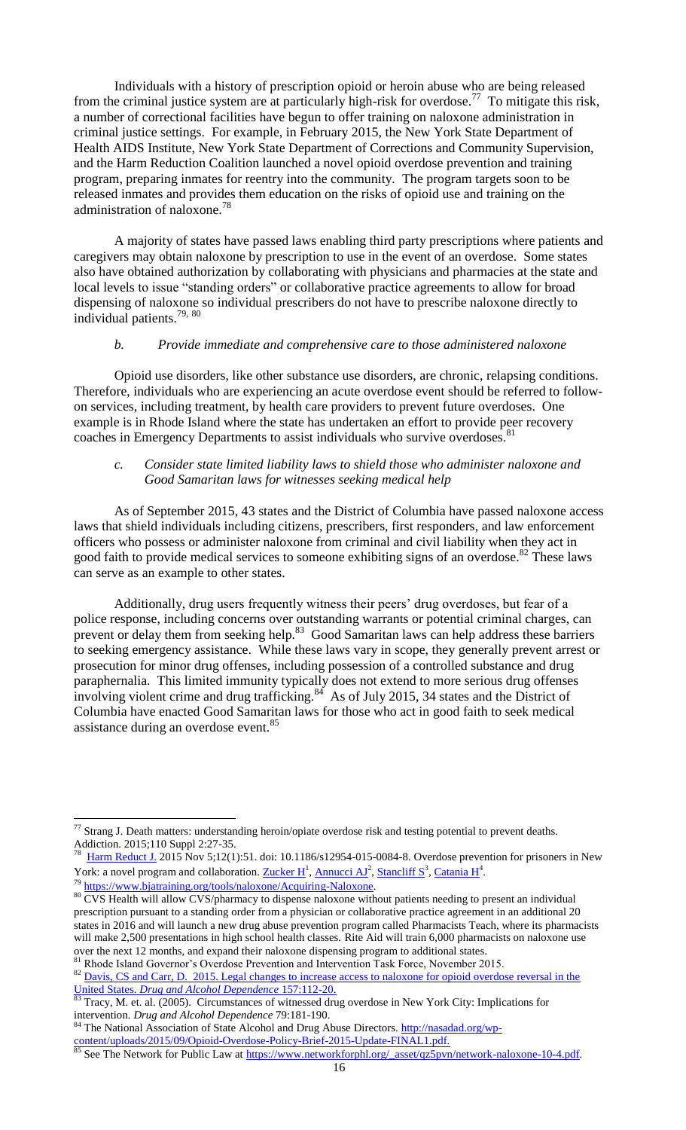Individuals with a history of prescription opioid or heroin abuse who are being released from the criminal justice system are at particularly high-risk for overdose.<sup>77</sup> To mitigate this risk, a number of correctional facilities have begun to offer training on naloxone administration in criminal justice settings. For example, in February 2015, the New York State Department of Health AIDS Institute, New York State Department of Corrections and Community Supervision, and the Harm Reduction Coalition launched a novel opioid overdose prevention and training program, preparing inmates for reentry into the community. The program targets soon to be released inmates and provides them education on the risks of opioid use and training on the administration of naloxone.<sup>78</sup>

A majority of states have passed laws enabling third party prescriptions where patients and caregivers may obtain naloxone by prescription to use in the event of an overdose. Some states also have obtained authorization by collaborating with physicians and pharmacies at the state and local levels to issue "standing orders" or collaborative practice agreements to allow for broad dispensing of naloxone so individual prescribers do not have to prescribe naloxone directly to individual patients. 79, 80

#### *b. Provide immediate and comprehensive care to those administered naloxone*

<span id="page-15-0"></span>Opioid use disorders, like other substance use disorders, are chronic, relapsing conditions. Therefore, individuals who are experiencing an acute overdose event should be referred to followon services, including treatment, by health care providers to prevent future overdoses. One example is in Rhode Island where the state has undertaken an effort to provide peer recovery coaches in Emergency Departments to assist individuals who survive overdoses.<sup>81</sup>

#### <span id="page-15-1"></span>*c. Consider state limited liability laws to shield those who administer naloxone and Good Samaritan laws for witnesses seeking medical help*

As of September 2015, 43 states and the District of Columbia have passed naloxone access laws that shield individuals including citizens, prescribers, first responders, and law enforcement officers who possess or administer naloxone from criminal and civil liability when they act in good faith to provide medical services to someone exhibiting signs of an overdose.<sup>82</sup> These laws can serve as an example to other states.

Additionally, drug users frequently witness their peers' drug overdoses, but fear of a police response, including concerns over outstanding warrants or potential criminal charges, can prevent or delay them from seeking help.<sup>83</sup> Good Samaritan laws can help address these barriers to seeking emergency assistance. While these laws vary in scope, they generally prevent arrest or prosecution for minor drug offenses, including possession of a controlled substance and drug paraphernalia. This limited immunity typically does not extend to more serious drug offenses involving violent crime and drug trafficking.<sup>84</sup> As of July 2015, 34 states and the District of Columbia have enacted Good Samaritan laws for those who act in good faith to seek medical assistance during an overdose event.<sup>85</sup>

<sup>79</sup> [https://www.bjatraining.org/tools/naloxone/Acquiring-Naloxone.](https://www.bjatraining.org/tools/naloxone/Acquiring-Naloxone)

 $\overline{\phantom{a}}$ 

 $^{77}$  Strang J. Death matters: understanding heroin/opiate overdose risk and testing potential to prevent deaths. Addiction. 2015;110 Suppl 2:27-35.

<sup>78</sup> [Harm Reduct J.](http://www.ncbi.nlm.nih.gov/pubmed/26541987) 2015 Nov 5;12(1):51. doi: 10.1186/s12954-015-0084-8. Overdose prevention for prisoners in New York: a novel program and collaboration. Zucker  $H^1$ , [Annucci AJ](http://www.ncbi.nlm.nih.gov/pubmed/?term=Annucci%20AJ%5BAuthor%5D&cauthor=true&cauthor_uid=26541987)<sup>2</sup>[, Stancliff S](http://www.ncbi.nlm.nih.gov/pubmed/?term=Stancliff%20S%5BAuthor%5D&cauthor=true&cauthor_uid=26541987)<sup>3</sup>, [Catania H](http://www.ncbi.nlm.nih.gov/pubmed/?term=Catania%20H%5BAuthor%5D&cauthor=true&cauthor_uid=26541987)<sup>4</sup>.

<sup>&</sup>lt;sup>80</sup> CVS Health will allow CVS/pharmacy to dispense naloxone without patients needing to present an individual prescription pursuant to a standing order from a physician or collaborative practice agreement in an additional 20 states in 2016 and will launch a new drug abuse prevention program called Pharmacists Teach, where its pharmacists will make 2,500 presentations in high school health classes. Rite Aid will train 6,000 pharmacists on naloxone use over the next 12 months, and expand their naloxone dispensing program to additional states.

<sup>81</sup> Rhode Island Governor's Overdose Prevention and Intervention Task Force, November 2015. 82 [Davis,](https://www.bjatraining.org/tools/naloxone/Liability-and-Risk) CS and Carr, D. 2015. Legal changes to increase access to naloxone for opioid overdose reversal in the United States. *Drug and Alcohol Dependence* 157:112-20.

<sup>83</sup> Tracy, M. et. al. (2005). Circumstances of witnessed drug overdose in New York City: Implications for intervention*. Drug and Alcohol Dependence* 79:181-190.

The National Association of State Alcohol and Drug Abuse Directors. [http://nasadad.org/wp](http://nasadad.org/wp-content/uploads/2015/09/Opioid-Overdose-Policy-Brief-2015-Update-FINAL1.pdf)[content/uploads/2015/09/Opioid-Overdose-Policy-Brief-2015-Update-FINAL1.pdf.](http://nasadad.org/wp-content/uploads/2015/09/Opioid-Overdose-Policy-Brief-2015-Update-FINAL1.pdf)

See The Network for Public Law at [https://www.networkforphl.org/\\_asset/qz5pvn/network-naloxone-10-4.pdf.](https://www.networkforphl.org/_asset/qz5pvn/network-naloxone-10-4.pdf)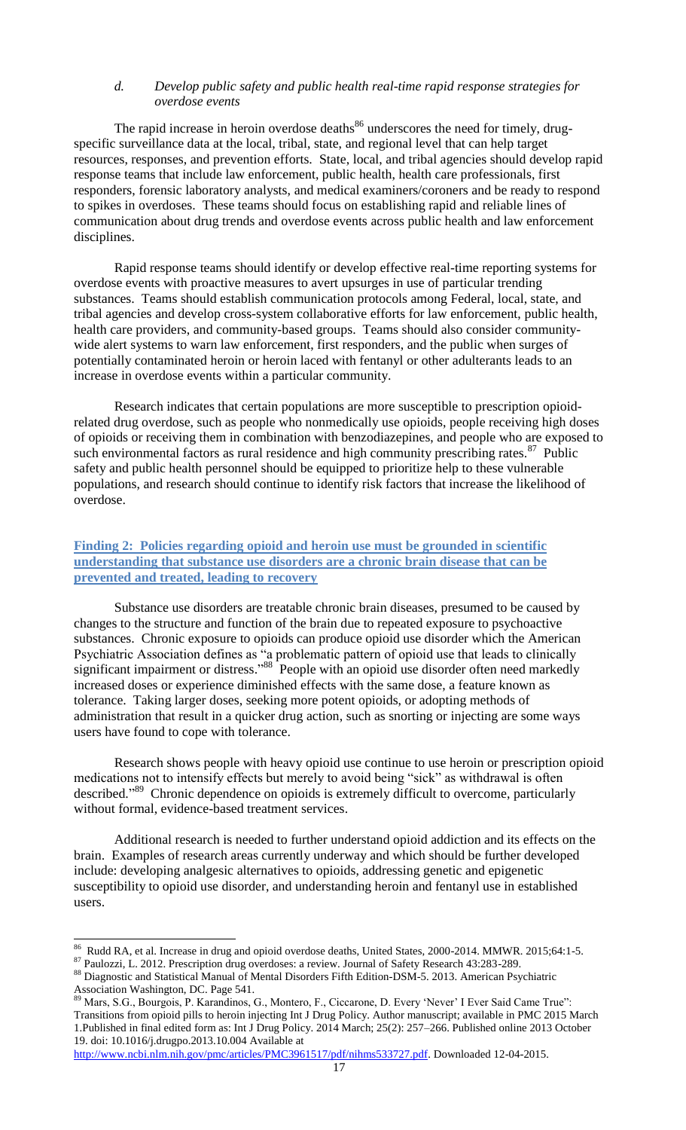#### <span id="page-16-0"></span>*d. Develop public safety and public health real-time rapid response strategies for overdose events*

The rapid increase in heroin overdose deaths $86$  underscores the need for timely, drugspecific surveillance data at the local, tribal, state, and regional level that can help target resources, responses, and prevention efforts. State, local, and tribal agencies should develop rapid response teams that include law enforcement, public health, health care professionals, first responders, forensic laboratory analysts, and medical examiners/coroners and be ready to respond to spikes in overdoses. These teams should focus on establishing rapid and reliable lines of communication about drug trends and overdose events across public health and law enforcement disciplines.

Rapid response teams should identify or develop effective real-time reporting systems for overdose events with proactive measures to avert upsurges in use of particular trending substances. Teams should establish communication protocols among Federal, local, state, and tribal agencies and develop cross-system collaborative efforts for law enforcement, public health, health care providers, and community-based groups. Teams should also consider communitywide alert systems to warn law enforcement, first responders, and the public when surges of potentially contaminated heroin or heroin laced with fentanyl or other adulterants leads to an increase in overdose events within a particular community.

Research indicates that certain populations are more susceptible to prescription opioidrelated drug overdose, such as people who nonmedically use opioids, people receiving high doses of opioids or receiving them in combination with benzodiazepines, and people who are exposed to such environmental factors as rural residence and high community prescribing rates. $87$  Public safety and public health personnel should be equipped to prioritize help to these vulnerable populations, and research should continue to identify risk factors that increase the likelihood of overdose.

#### <span id="page-16-1"></span>**Finding 2: Policies regarding opioid and heroin use must be grounded in scientific understanding that substance use disorders are a chronic brain disease that can be prevented and treated, leading to recovery**

Substance use disorders are treatable chronic brain diseases, presumed to be caused by changes to the structure and function of the brain due to repeated exposure to psychoactive substances. Chronic exposure to opioids can produce opioid use disorder which the American Psychiatric Association defines as "a problematic pattern of opioid use that leads to clinically significant impairment or distress."<sup>88</sup> People with an opioid use disorder often need markedly increased doses or experience diminished effects with the same dose, a feature known as tolerance. Taking larger doses, seeking more potent opioids, or adopting methods of administration that result in a quicker drug action, such as snorting or injecting are some ways users have found to cope with tolerance.

Research shows people with heavy opioid use continue to use heroin or prescription opioid medications not to intensify effects but merely to avoid being "sick" as withdrawal is often described."<sup>89</sup> Chronic dependence on opioids is extremely difficult to overcome, particularly without formal, evidence-based treatment services.

Additional research is needed to further understand opioid addiction and its effects on the brain. Examples of research areas currently underway and which should be further developed include: developing analgesic alternatives to opioids, addressing genetic and epigenetic susceptibility to opioid use disorder, and understanding heroin and fentanyl use in established users.

<sup>&</sup>lt;sup>86</sup> Rudd RA, et al. Increase in drug and opioid overdose deaths, United States, 2000-2014. MMWR. 2015;64:1-5.

<sup>87</sup> Paulozzi, L. 2012. Prescription drug overdoses: a review. Journal of Safety Research 43:283-289.

<sup>88</sup> Diagnostic and Statistical Manual of Mental Disorders Fifth Edition-DSM-5. 2013. American Psychiatric Association Washington, DC. Page 541.

<sup>89</sup> Mars, S.G., Bourgois, P. Karandinos, G., Montero, F., Ciccarone, D. Every 'Never' I Ever Said Came True": Transitions from opioid pills to heroin injecting Int J Drug Policy. Author manuscript; available in PMC 2015 March 1.Published in final edited form as: Int J Drug Policy. 2014 March; 25(2): 257–266. Published online 2013 October 19. doi: 10.1016/j.drugpo.2013.10.004 Available at

[http://www.ncbi.nlm.nih.gov/pmc/articles/PMC3961517/pdf/nihms533727.pdf.](http://www.ncbi.nlm.nih.gov/pmc/articles/PMC3961517/pdf/nihms533727.pdf) Downloaded 12-04-2015.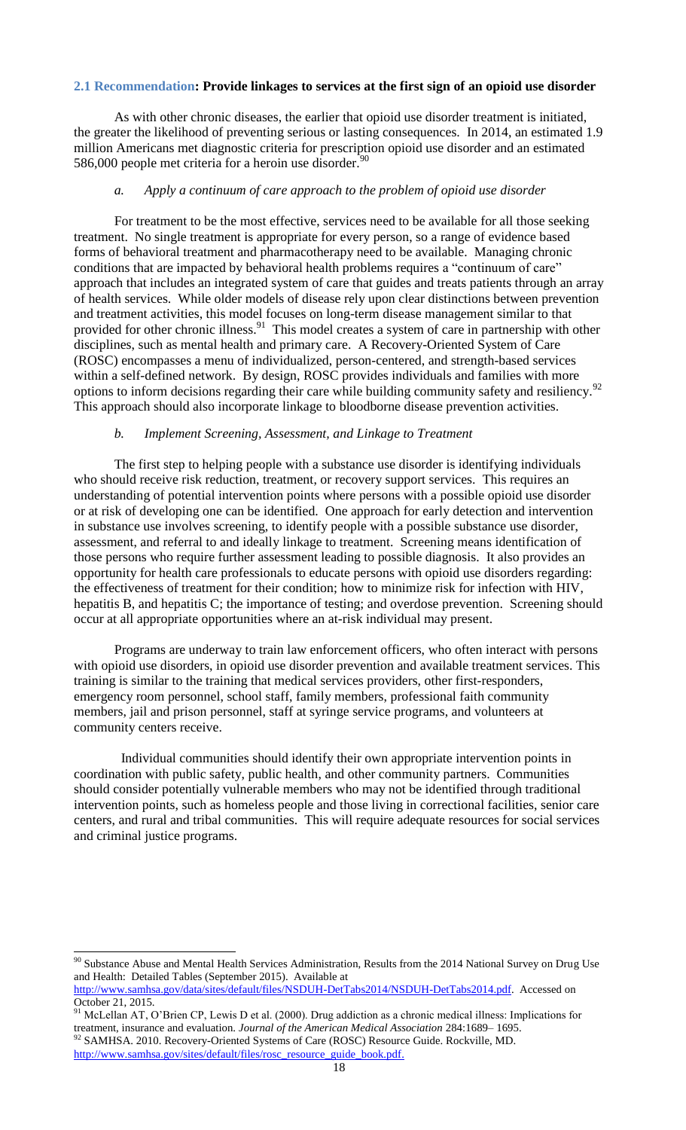#### <span id="page-17-0"></span>**2.1 Recommendation: Provide linkages to services at the first sign of an opioid use disorder**

As with other chronic diseases, the earlier that opioid use disorder treatment is initiated, the greater the likelihood of preventing serious or lasting consequences. In 2014, an estimated 1.9 million Americans met diagnostic criteria for prescription opioid use disorder and an estimated 586,000 people met criteria for a heroin use disorder.<sup>90</sup>

#### *a. Apply a continuum of care approach to the problem of opioid use disorder*

<span id="page-17-1"></span>For treatment to be the most effective, services need to be available for all those seeking treatment. No single treatment is appropriate for every person, so a range of evidence based forms of behavioral treatment and pharmacotherapy need to be available. Managing chronic conditions that are impacted by behavioral health problems requires a "continuum of care" approach that includes an integrated system of care that guides and treats patients through an array of health services. While older models of disease rely upon clear distinctions between prevention and treatment activities, this model focuses on long-term disease management similar to that provided for other chronic illness.<sup>91</sup> This model creates a system of care in partnership with other disciplines, such as mental health and primary care. A Recovery-Oriented System of Care (ROSC) encompasses a menu of individualized, person-centered, and strength-based services within a self-defined network. By design, ROSC provides individuals and families with more options to inform decisions regarding their care while building community safety and resiliency.<sup>92</sup> This approach should also incorporate linkage to bloodborne disease prevention activities.

## *b. Implement Screening, Assessment, and Linkage to Treatment*

<span id="page-17-2"></span>The first step to helping people with a substance use disorder is identifying individuals who should receive risk reduction, treatment, or recovery support services. This requires an understanding of potential intervention points where persons with a possible opioid use disorder or at risk of developing one can be identified. One approach for early detection and intervention in substance use involves screening, to identify people with a possible substance use disorder, assessment, and referral to and ideally linkage to treatment. Screening means identification of those persons who require further assessment leading to possible diagnosis. It also provides an opportunity for health care professionals to educate persons with opioid use disorders regarding: the effectiveness of treatment for their condition; how to minimize risk for infection with HIV, hepatitis B, and hepatitis C; the importance of testing; and overdose prevention. Screening should occur at all appropriate opportunities where an at-risk individual may present.

Programs are underway to train law enforcement officers, who often interact with persons with opioid use disorders, in opioid use disorder prevention and available treatment services. This training is similar to the training that medical services providers, other first-responders, emergency room personnel, school staff, family members, professional faith community members, jail and prison personnel, staff at syringe service programs, and volunteers at community centers receive.

 Individual communities should identify their own appropriate intervention points in coordination with public safety, public health, and other community partners. Communities should consider potentially vulnerable members who may not be identified through traditional intervention points, such as homeless people and those living in correctional facilities, senior care centers, and rural and tribal communities. This will require adequate resources for social services and criminal justice programs.

 $\overline{a}$  $90$  Substance Abuse and Mental Health Services Administration, Results from the 2014 National Survey on Drug Use and Health: Detailed Tables (September 2015). Available at

[http://www.samhsa.gov/data/sites/default/files/NSDUH-DetTabs2014/NSDUH-DetTabs2014.pdf.](http://www.samhsa.gov/data/sites/default/files/NSDUH-DetTabs2014/NSDUH-DetTabs2014.pdf) Accessed on October 21, 2015.

<sup>&</sup>lt;sup>91</sup> McLellan AT, O'Brien CP, Lewis D et al. (2000). Drug addiction as a chronic medical illness: Implications for treatment, insurance and evaluation. *Journal of the American Medical Association* 284:1689– 1695.  $92$  SAMHSA. 2010. Recovery-Oriented Systems of Care (ROSC) Resource Guide. Rockville, MD.

[http://www.samhsa.gov/sites/default/files/rosc\\_resource\\_guide\\_book.pdf.](http://www.samhsa.gov/sites/default/files/rosc_resource_guide_book.pdf)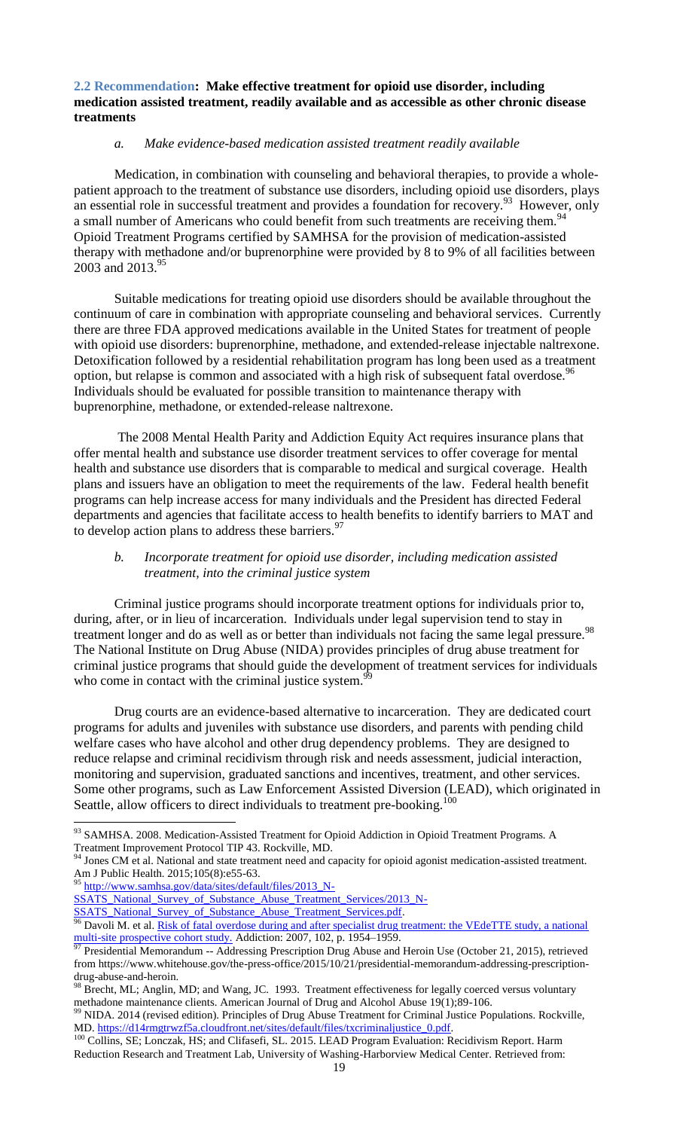#### <span id="page-18-0"></span>**2.2 Recommendation: Make effective treatment for opioid use disorder, including medication assisted treatment, readily available and as accessible as other chronic disease treatments**

#### *a. Make evidence-based medication assisted treatment readily available*

<span id="page-18-1"></span>Medication, in combination with counseling and behavioral therapies, to provide a wholepatient approach to the treatment of substance use disorders, including opioid use disorders, plays an essential role in successful treatment and provides a foundation for recovery.<sup>93</sup> However, only a small number of Americans who could benefit from such treatments are receiving them.<sup>94</sup> Opioid Treatment Programs certified by SAMHSA for the provision of medication-assisted therapy with methadone and/or buprenorphine were provided by 8 to 9% of all facilities between 2003 and 2013.<sup>95</sup>

Suitable medications for treating opioid use disorders should be available throughout the continuum of care in combination with appropriate counseling and behavioral services. Currently there are three FDA approved medications available in the United States for treatment of people with opioid use disorders: buprenorphine, methadone, and extended-release injectable naltrexone. Detoxification followed by a residential rehabilitation program has long been used as a treatment option, but relapse is common and associated with a high risk of subsequent fatal overdose.<sup>96</sup> Individuals should be evaluated for possible transition to maintenance therapy with buprenorphine, methadone, or extended-release naltrexone.

The 2008 Mental Health Parity and Addiction Equity Act requires insurance plans that offer mental health and substance use disorder treatment services to offer coverage for mental health and substance use disorders that is comparable to medical and surgical coverage. Health plans and issuers have an obligation to meet the requirements of the law. Federal health benefit programs can help increase access for many individuals and the President has directed Federal departments and agencies that facilitate access to health benefits to identify barriers to MAT and to develop action plans to address these barriers.<sup>97</sup>

#### <span id="page-18-2"></span>*b. Incorporate treatment for opioid use disorder, including medication assisted treatment, into the criminal justice system*

Criminal justice programs should incorporate treatment options for individuals prior to, during, after, or in lieu of incarceration. Individuals under legal supervision tend to stay in treatment longer and do as well as or better than individuals not facing the same legal pressure.<sup>98</sup> The National Institute on Drug Abuse (NIDA) provides principles of drug abuse treatment for criminal justice programs that should guide the development of treatment services for individuals who come in contact with the criminal justice system.<sup>9</sup>

Drug courts are an evidence-based alternative to incarceration. They are dedicated court programs for adults and juveniles with substance use disorders, and parents with pending child welfare cases who have alcohol and other drug dependency problems. They are designed to reduce relapse and criminal recidivism through risk and needs assessment, judicial interaction, monitoring and supervision, graduated sanctions and incentives, treatment, and other services. Some other programs, such as Law Enforcement Assisted Diversion (LEAD), which originated in Seattle, allow officers to direct individuals to treatment pre-booking.<sup>100</sup>

95 [http://www.samhsa.gov/data/sites/default/files/2013\\_N-](http://www.samhsa.gov/data/sites/default/files/2013_N-SSATS_National_Survey_of_Substance_Abuse_Treatment_Services/2013_N-SSATS_National_Survey_of_Substance_Abuse_Treatment_Services.pdf)

 $\overline{\phantom{a}}$ 

SSATS National Survey of Substance Abuse Treatment Services.pdf.

<sup>93</sup> SAMHSA. 2008. Medication-Assisted Treatment for Opioid Addiction in Opioid Treatment Programs. A Treatment Improvement Protocol TIP 43. Rockville, MD.

Jones CM et al. National and state treatment need and capacity for opioid agonist medication-assisted treatment. Am J Public Health. 2015;105(8):e55-63.

[SSATS\\_National\\_Survey\\_of\\_Substance\\_Abuse\\_Treatment\\_Services/2013\\_N-](http://www.samhsa.gov/data/sites/default/files/2013_N-SSATS_National_Survey_of_Substance_Abuse_Treatment_Services/2013_N-SSATS_National_Survey_of_Substance_Abuse_Treatment_Services.pdf)

<sup>&</sup>lt;sup>96</sup> Davoli M. et al. <u>Risk of fatal overdose during and after specialist drug treatment: the VEdeTTE study, a national</u> [multi-site prospective cohort study.](http://www.blackwell-synergy.com/doi/abs/10.1111/j.1360-0443.2007.02025.x) Addiction: 2007, 102, p. 1954–1959.

Presidential Memorandum -- Addressing Prescription Drug Abuse and Heroin Use (October 21, 2015), retrieved from https://www.whitehouse.gov/the-press-office/2015/10/21/presidential-memorandum-addressing-prescriptiondrug-abuse-and-heroin.

<sup>&</sup>lt;sup>98</sup> Brecht, ML; Anglin, MD; and Wang, JC. 1993. Treatment effectiveness for legally coerced versus voluntary methadone maintenance clients. American Journal of Drug and Alcohol Abuse 19(1);89-106.

<sup>&</sup>lt;sup>99</sup> NIDA. 2014 (revised edition). Principles of Drug Abuse Treatment for Criminal Justice Populations. Rockville, MD. https://d14rmgtrwzf5a.cloudfront.net/sites/default/files/txcriminaljustice\_0.pdf.

<sup>&</sup>lt;sup>100</sup> Collins, SE; Lonczak, HS; and Clifasefi, SL. 2015. LEAD Program Evaluation: Recidivism Report. Harm Reduction Research and Treatment Lab, University of Washing-Harborview Medical Center. Retrieved from: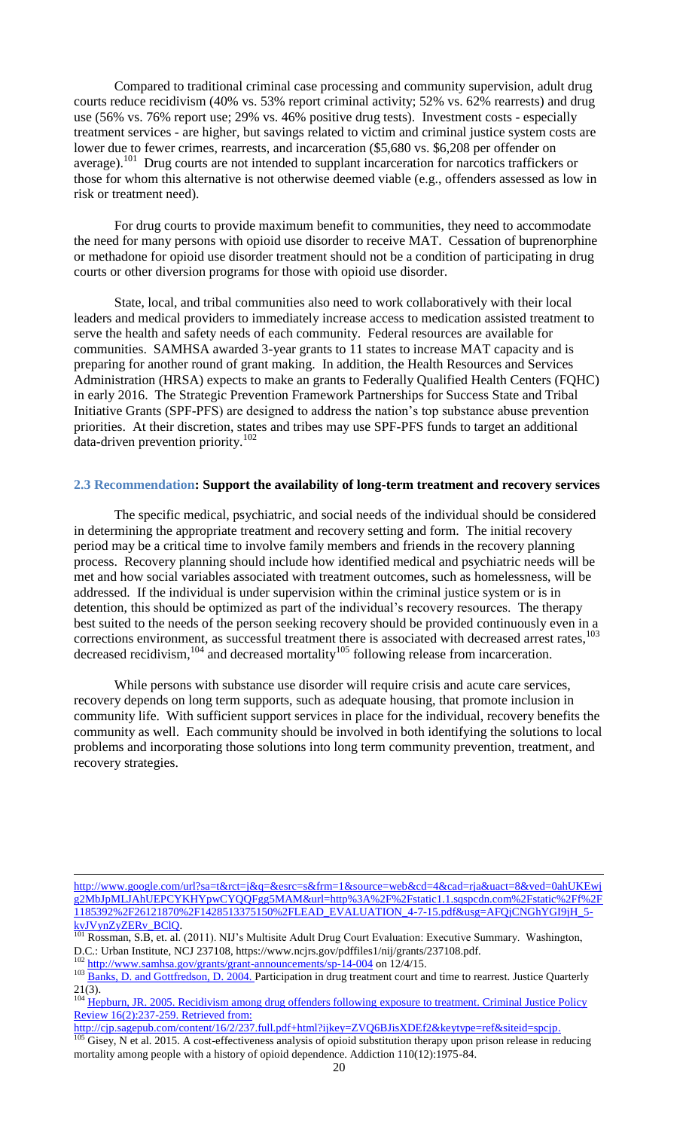Compared to traditional criminal case processing and community supervision, adult drug courts reduce recidivism (40% vs. 53% report criminal activity; 52% vs. 62% rearrests) and drug use (56% vs. 76% report use; 29% vs. 46% positive drug tests). Investment costs - especially treatment services - are higher, but savings related to victim and criminal justice system costs are lower due to fewer crimes, rearrests, and incarceration (\$5,680 vs. \$6,208 per offender on average).<sup>101</sup> Drug courts are not intended to supplant incarceration for narcotics traffickers or those for whom this alternative is not otherwise deemed viable (e.g., offenders assessed as low in risk or treatment need).

For drug courts to provide maximum benefit to communities, they need to accommodate the need for many persons with opioid use disorder to receive MAT. Cessation of buprenorphine or methadone for opioid use disorder treatment should not be a condition of participating in drug courts or other diversion programs for those with opioid use disorder.

State, local, and tribal communities also need to work collaboratively with their local leaders and medical providers to immediately increase access to medication assisted treatment to serve the health and safety needs of each community. Federal resources are available for communities. SAMHSA awarded 3-year grants to 11 states to increase MAT capacity and is preparing for another round of grant making. In addition, the Health Resources and Services Administration (HRSA) expects to make an grants to Federally Qualified Health Centers (FQHC) in early 2016. The Strategic Prevention Framework Partnerships for Success State and Tribal Initiative Grants (SPF-PFS) are designed to address the nation's top substance abuse prevention priorities. At their discretion, states and tribes may use SPF-PFS funds to target an additional data-driven prevention priority.<sup>102</sup>

#### <span id="page-19-0"></span>**2.3 Recommendation: Support the availability of long-term treatment and recovery services**

The specific medical, psychiatric, and social needs of the individual should be considered in determining the appropriate treatment and recovery setting and form. The initial recovery period may be a critical time to involve family members and friends in the recovery planning process. Recovery planning should include how identified medical and psychiatric needs will be met and how social variables associated with treatment outcomes, such as homelessness, will be addressed. If the individual is under supervision within the criminal justice system or is in detention, this should be optimized as part of the individual's recovery resources. The therapy best suited to the needs of the person seeking recovery should be provided continuously even in a corrections environment, as successful treatment there is associated with decreased arrest rates, 103 decreased recidivism,  $^{104}$  and decreased mortality  $^{105}$  following release from incarceration.

While persons with substance use disorder will require crisis and acute care services, recovery depends on long term supports, such as adequate housing, that promote inclusion in community life. With sufficient support services in place for the individual, recovery benefits the community as well. Each community should be involved in both identifying the solutions to local problems and incorporating those solutions into long term community prevention, treatment, and recovery strategies.

 $\overline{a}$ 

[http://www.google.com/url?sa=t&rct=j&q=&esrc=s&frm=1&source=web&cd=4&cad=rja&uact=8&ved=0ahUKEwj](http://www.google.com/url?sa=t&rct=j&q=&esrc=s&frm=1&source=web&cd=4&cad=rja&uact=8&ved=0ahUKEwjg2MbJpMLJAhUEPCYKHYpwCYQQFgg5MAM&url=http%3A%2F%2Fstatic1.1.sqspcdn.com%2Fstatic%2Ff%2F1185392%2F26121870%2F1428513375150%2FLEAD_EVALUATION_4-7-15.pdf&usg=AFQjCNGhYGI9jH_5-kvJVynZyZERv_BClQ) [g2MbJpMLJAhUEPCYKHYpwCYQQFgg5MAM&url=http%3A%2F%2Fstatic1.1.sqspcdn.com%2Fstatic%2Ff%2F](http://www.google.com/url?sa=t&rct=j&q=&esrc=s&frm=1&source=web&cd=4&cad=rja&uact=8&ved=0ahUKEwjg2MbJpMLJAhUEPCYKHYpwCYQQFgg5MAM&url=http%3A%2F%2Fstatic1.1.sqspcdn.com%2Fstatic%2Ff%2F1185392%2F26121870%2F1428513375150%2FLEAD_EVALUATION_4-7-15.pdf&usg=AFQjCNGhYGI9jH_5-kvJVynZyZERv_BClQ) [1185392%2F26121870%2F1428513375150%2FLEAD\\_EVALUATION\\_4-7-15.pdf&usg=AFQjCNGhYGI9jH\\_5](http://www.google.com/url?sa=t&rct=j&q=&esrc=s&frm=1&source=web&cd=4&cad=rja&uact=8&ved=0ahUKEwjg2MbJpMLJAhUEPCYKHYpwCYQQFgg5MAM&url=http%3A%2F%2Fstatic1.1.sqspcdn.com%2Fstatic%2Ff%2F1185392%2F26121870%2F1428513375150%2FLEAD_EVALUATION_4-7-15.pdf&usg=AFQjCNGhYGI9jH_5-kvJVynZyZERv_BClQ)  $kvJVynZyZERvBClQ.$ 

Rossman, S.B, et. al. (2011). NIJ's Multisite Adult Drug Court Evaluation: Executive Summary. Washington, D.C.: Urban Institute, NCJ 237108, https://www.ncjrs.gov/pdffiles1/nij/grants/237108.pdf.

<sup>&</sup>lt;sup>102</sup> <http://www.samhsa.gov/grants/grant-announcements/sp-14-004> on 12/4/15.

<sup>103</sup> Banks, D. and Gottfredson, D. 2004. Participation in drug treatment court and time to rearrest. Justice Quarterly  $21(3)$ .

<sup>&</sup>lt;sup>104</sup> Hepburn, JR. 2005. Recidivism among drug offenders following exposure to treatment. Criminal Justice Policy Review 16(2):237-259. Retrieved from:

http://cjp.sagepub.com/content/16/2/237.full.pdf+html?ijkey=ZVQ6BJisXDEf2&keytype=ref&siteid=spcjp.

Gisey, N et al. 2015. A cost-effectiveness analysis of opioid substitution therapy upon prison release in reducing mortality among people with a history of opioid dependence. Addiction 110(12):1975-84.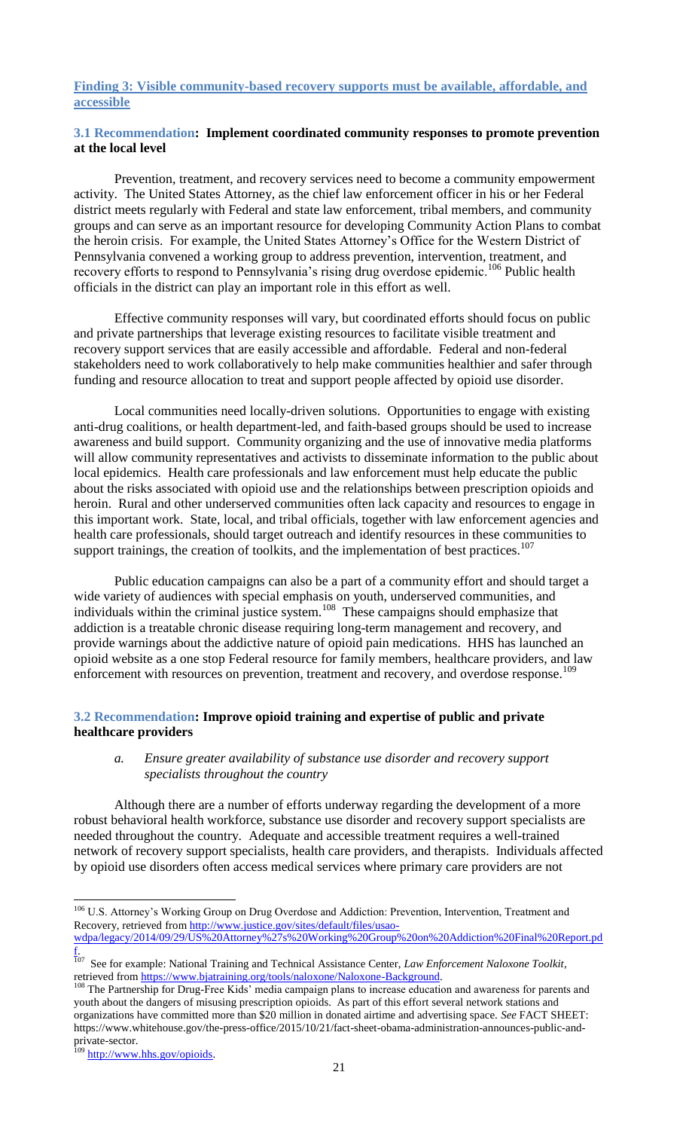#### <span id="page-20-0"></span>**Finding 3: Visible community-based recovery supports must be available, affordable, and accessible**

#### <span id="page-20-1"></span>**3.1 Recommendation: Implement coordinated community responses to promote prevention at the local level**

Prevention, treatment, and recovery services need to become a community empowerment activity. The United States Attorney, as the chief law enforcement officer in his or her Federal district meets regularly with Federal and state law enforcement, tribal members, and community groups and can serve as an important resource for developing Community Action Plans to combat the heroin crisis. For example, the United States Attorney's Office for the Western District of Pennsylvania convened a working group to address prevention, intervention, treatment, and recovery efforts to respond to Pennsylvania's rising drug overdose epidemic.<sup>106</sup> Public health officials in the district can play an important role in this effort as well.

Effective community responses will vary, but coordinated efforts should focus on public and private partnerships that leverage existing resources to facilitate visible treatment and recovery support services that are easily accessible and affordable. Federal and non-federal stakeholders need to work collaboratively to help make communities healthier and safer through funding and resource allocation to treat and support people affected by opioid use disorder.

Local communities need locally-driven solutions. Opportunities to engage with existing anti-drug coalitions, or health department-led, and faith-based groups should be used to increase awareness and build support. Community organizing and the use of innovative media platforms will allow community representatives and activists to disseminate information to the public about local epidemics. Health care professionals and law enforcement must help educate the public about the risks associated with opioid use and the relationships between prescription opioids and heroin. Rural and other underserved communities often lack capacity and resources to engage in this important work. State, local, and tribal officials, together with law enforcement agencies and health care professionals, should target outreach and identify resources in these communities to support trainings, the creation of toolkits, and the implementation of best practices.<sup>107</sup>

Public education campaigns can also be a part of a community effort and should target a wide variety of audiences with special emphasis on youth, underserved communities, and individuals within the criminal justice system.<sup>108</sup> These campaigns should emphasize that addiction is a treatable chronic disease requiring long-term management and recovery, and provide warnings about the addictive nature of opioid pain medications. HHS has launched an opioid website as a one stop Federal resource for family members, healthcare providers, and law enforcement with resources on prevention, treatment and recovery, and overdose response.<sup>109</sup>

## <span id="page-20-3"></span><span id="page-20-2"></span>**3.2 Recommendation: Improve opioid training and expertise of public and private healthcare providers**

#### *a. Ensure greater availability of substance use disorder and recovery support specialists throughout the country*

Although there are a number of efforts underway regarding the development of a more robust behavioral health workforce, substance use disorder and recovery support specialists are needed throughout the country. Adequate and accessible treatment requires a well-trained network of recovery support specialists, health care providers, and therapists. Individuals affected by opioid use disorders often access medical services where primary care providers are not

 $\overline{\phantom{a}}$ <sup>106</sup> U.S. Attorney's Working Group on Drug Overdose and Addiction: Prevention, Intervention, Treatment and Recovery, retrieved from [http://www.justice.gov/sites/default/files/usao-](http://www.justice.gov/sites/default/files/usao-wdpa/legacy/2014/09/29/US%20Attorney%27s%20Working%20Group%20on%20Addiction%20Final%20Report.pdf)

[wdpa/legacy/2014/09/29/US%20Attorney%27s%20Working%20Group%20on%20Addiction%20Final%20Report.pd](http://www.justice.gov/sites/default/files/usao-wdpa/legacy/2014/09/29/US%20Attorney%27s%20Working%20Group%20on%20Addiction%20Final%20Report.pdf) [f.](http://www.justice.gov/sites/default/files/usao-wdpa/legacy/2014/09/29/US%20Attorney%27s%20Working%20Group%20on%20Addiction%20Final%20Report.pdf)  107 See for example: National Training and Technical Assistance Center, *Law Enforcement Naloxone Toolkit*,

retrieved from [https://www.bjatraining.org/tools/naloxone/Naloxone-Background.](https://www.bjatraining.org/tools/naloxone/Naloxone-Background)

<sup>&</sup>lt;sup>108</sup> The Partnership for Drug-Free Kids' media campaign plans to increase education and awareness for parents and youth about the dangers of misusing prescription opioids. As part of this effort several network stations and organizations have committed more than \$20 million in donated airtime and advertising space. *See* FACT SHEET: https://www.whitehouse.gov/the-press-office/2015/10/21/fact-sheet-obama-administration-announces-public-andprivate-sector.

[http://www.hhs.gov/opioids.](http://www.hhs.gov/opioids)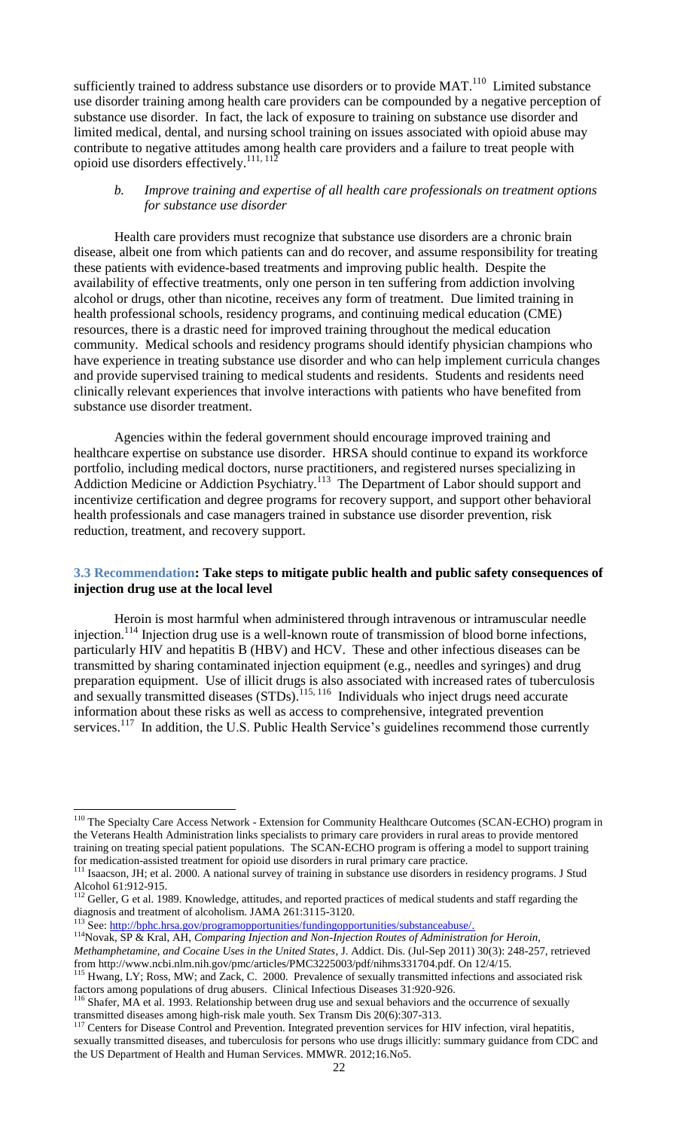sufficiently trained to address substance use disorders or to provide  $MAT.^{110}$  Limited substance use disorder training among health care providers can be compounded by a negative perception of substance use disorder. In fact, the lack of exposure to training on substance use disorder and limited medical, dental, and nursing school training on issues associated with opioid abuse may contribute to negative attitudes among health care providers and a failure to treat people with opioid use disorders effectively.<sup>111, 112</sup>

#### <span id="page-21-0"></span>*b. Improve training and expertise of all health care professionals on treatment options for substance use disorder*

Health care providers must recognize that substance use disorders are a chronic brain disease, albeit one from which patients can and do recover, and assume responsibility for treating these patients with evidence-based treatments and improving public health. Despite the availability of effective treatments, only one person in ten suffering from addiction involving alcohol or drugs, other than nicotine, receives any form of treatment. Due limited training in health professional schools, residency programs, and continuing medical education (CME) resources, there is a drastic need for improved training throughout the medical education community. Medical schools and residency programs should identify physician champions who have experience in treating substance use disorder and who can help implement curricula changes and provide supervised training to medical students and residents. Students and residents need clinically relevant experiences that involve interactions with patients who have benefited from substance use disorder treatment.

Agencies within the federal government should encourage improved training and healthcare expertise on substance use disorder. HRSA should continue to expand its workforce portfolio, including medical doctors, nurse practitioners, and registered nurses specializing in Addiction Medicine or Addiction Psychiatry.<sup>113</sup> The Department of Labor should support and incentivize certification and degree programs for recovery support, and support other behavioral health professionals and case managers trained in substance use disorder prevention, risk reduction, treatment, and recovery support.

#### <span id="page-21-1"></span>**3.3 Recommendation: Take steps to mitigate public health and public safety consequences of injection drug use at the local level**

Heroin is most harmful when administered through intravenous or intramuscular needle injection.<sup>114</sup> Injection drug use is a well-known route of transmission of blood borne infections, particularly HIV and hepatitis B (HBV) and HCV. These and other infectious diseases can be transmitted by sharing contaminated injection equipment (e.g., needles and syringes) and drug preparation equipment. Use of illicit drugs is also associated with increased rates of tuberculosis and sexually transmitted diseases (STDs).<sup>115, 116</sup> Individuals who inject drugs need accurate information about these risks as well as access to comprehensive, integrated prevention services.<sup>117</sup> In addition, the U.S. Public Health Service's guidelines recommend those currently

<sup>&</sup>lt;sup>110</sup> The Specialty Care Access Network - Extension for Community Healthcare Outcomes (SCAN-ECHO) program in the Veterans Health Administration links specialists to primary care providers in rural areas to provide mentored training on treating special patient populations. The SCAN-ECHO program is offering a model to support training for medication-assisted treatment for opioid use disorders in rural primary care practice.

<sup>&</sup>lt;sup>111</sup> Isaacson, JH; et al. 2000. A national survey of training in substance use disorders in residency programs. J Stud Alcohol 61:912-915.

 $112$  Geller, G et al. 1989. Knowledge, attitudes, and reported practices of medical students and staff regarding the diagnosis and treatment of alcoholism. JAMA 261:3115-3120.

<sup>&</sup>lt;sup>113</sup> See: [http://bphc.hrsa.gov/programopportunities/fundingopportunities/substanceabuse/.](http://bphc.hrsa.gov/programopportunities/fundingopportunities/substanceabuse/)

<sup>114</sup>Novak, SP & Kral, AH, *Comparing Injection and Non-Injection Routes of Administration for Heroin, Methamphetamine, and Cocaine Uses in the United States*, J. Addict. Dis. (Jul-Sep 2011) 30(3): 248-257, retrieved from http://www.ncbi.nlm.nih.gov/pmc/articles/PMC3225003/pdf/nihms331704.pdf. On 12/4/15.

<sup>&</sup>lt;sup>115</sup> Hwang, LY; Ross, MW; and Zack, C. 2000. Prevalence of sexually transmitted infections and associated risk factors among populations of drug abusers. Clinical Infectious Diseases 31:920-926.

<sup>&</sup>lt;sup>116</sup> Shafer, MA et al. 1993. Relationship between drug use and sexual behaviors and the occurrence of sexually transmitted diseases among high-risk male youth. Sex Transm Dis 20(6):307-313.<br><sup>117</sup> Centers for Disease Control and Prevention. Integrated prevention services for

<sup>117</sup> Centers for Disease Control and Prevention. Integrated prevention services for HIV infection, viral hepatitis, sexually transmitted diseases, and tuberculosis for persons who use drugs illicitly: summary guidance from CDC and the US Department of Health and Human Services. MMWR. 2012;16.No5.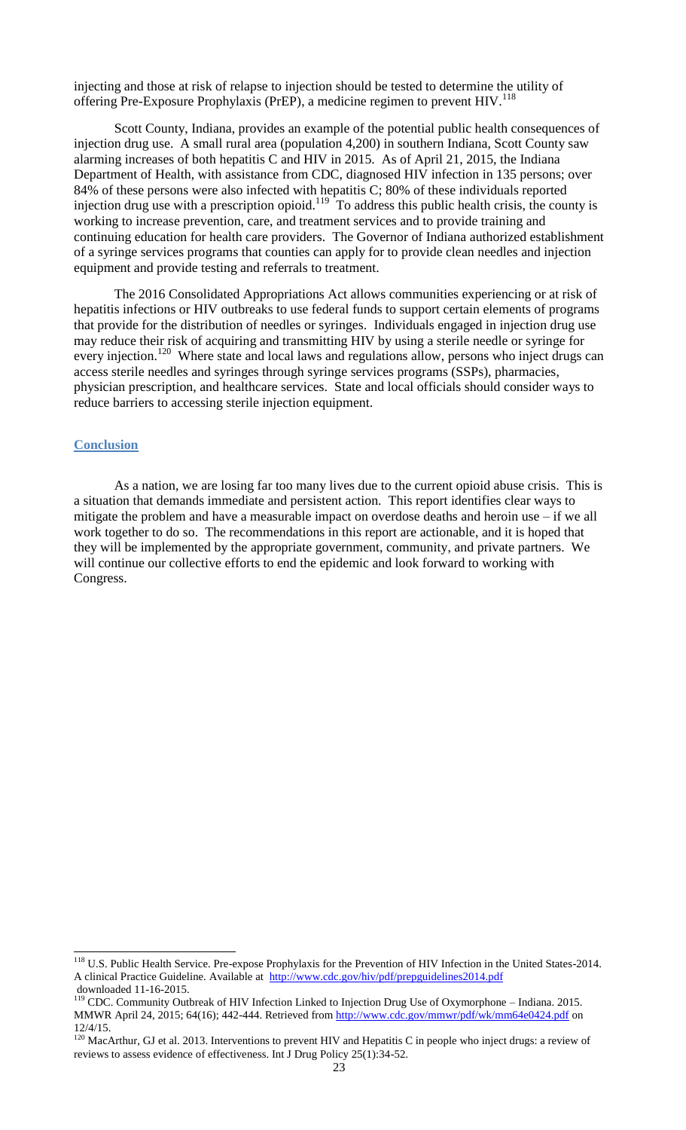injecting and those at risk of relapse to injection should be tested to determine the utility of offering Pre-Exposure Prophylaxis (PrEP), a medicine regimen to prevent  $HIV$ <sup>118</sup>

Scott County, Indiana, provides an example of the potential public health consequences of injection drug use. A small rural area (population 4,200) in southern Indiana, Scott County saw alarming increases of both hepatitis C and HIV in 2015. As of April 21, 2015, the Indiana Department of Health, with assistance from CDC, diagnosed HIV infection in 135 persons; over 84% of these persons were also infected with hepatitis C; 80% of these individuals reported injection drug use with a prescription opioid.<sup>119</sup> To address this public health crisis, the county is working to increase prevention, care, and treatment services and to provide training and continuing education for health care providers. The Governor of Indiana authorized establishment of a syringe services programs that counties can apply for to provide clean needles and injection equipment and provide testing and referrals to treatment.

The 2016 Consolidated Appropriations Act allows communities experiencing or at risk of hepatitis infections or HIV outbreaks to use federal funds to support certain elements of programs that provide for the distribution of needles or syringes. Individuals engaged in injection drug use may reduce their risk of acquiring and transmitting HIV by using a sterile needle or syringe for every injection.<sup>120</sup> Where state and local laws and regulations allow, persons who inject drugs can access sterile needles and syringes through syringe services programs (SSPs), pharmacies, physician prescription, and healthcare services. State and local officials should consider ways to reduce barriers to accessing sterile injection equipment.

#### <span id="page-22-0"></span>**Conclusion**

 $\overline{a}$ 

As a nation, we are losing far too many lives due to the current opioid abuse crisis. This is a situation that demands immediate and persistent action. This report identifies clear ways to mitigate the problem and have a measurable impact on overdose deaths and heroin use – if we all work together to do so. The recommendations in this report are actionable, and it is hoped that they will be implemented by the appropriate government, community, and private partners. We will continue our collective efforts to end the epidemic and look forward to working with Congress.

<sup>&</sup>lt;sup>118</sup> U.S. Public Health Service. Pre-expose Prophylaxis for the Prevention of HIV Infection in the United States-2014. A clinical Practice Guideline. Available at <http://www.cdc.gov/hiv/pdf/prepguidelines2014.pdf> downloaded 11-16-2015.

 $119$  CDC. Community Outbreak of HIV Infection Linked to Injection Drug Use of Oxymorphone – Indiana. 2015. MMWR April 24, 2015; 64(16); 442-444. Retrieved from<http://www.cdc.gov/mmwr/pdf/wk/mm64e0424.pdf> on 12/4/15.

 $120$  MacArthur, GJ et al. 2013. Interventions to prevent HIV and Hepatitis C in people who inject drugs: a review of reviews to assess evidence of effectiveness. Int J Drug Policy 25(1):34-52.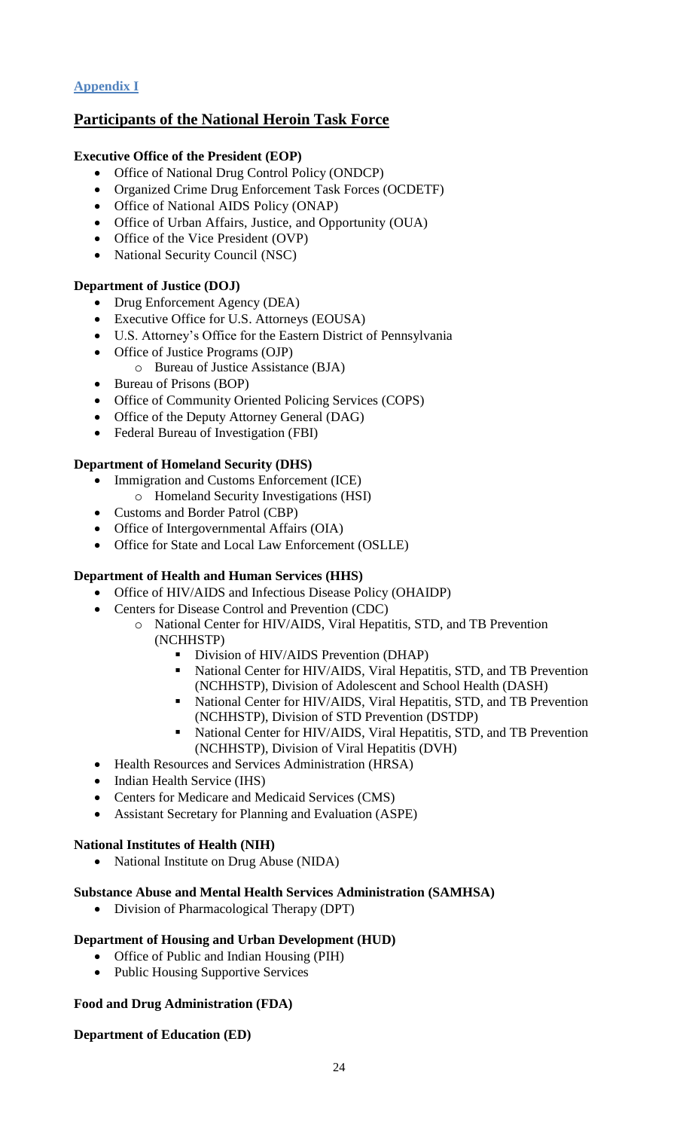## <span id="page-23-0"></span>**Appendix I**

## **Participants of the National Heroin Task Force**

## **Executive Office of the President (EOP)**

- Office of National Drug Control Policy (ONDCP)
- Organized Crime Drug Enforcement Task Forces (OCDETF)
- Office of National AIDS Policy (ONAP)
- Office of Urban Affairs, Justice, and Opportunity (OUA)
- Office of the Vice President (OVP)
- National Security Council (NSC)

## **Department of Justice (DOJ)**

- Drug Enforcement Agency (DEA)
- Executive Office for U.S. Attorneys (EOUSA)
- U.S. Attorney's Office for the Eastern District of Pennsylvania
- Office of Justice Programs (OJP)
	- o Bureau of Justice Assistance (BJA)
- Bureau of Prisons (BOP)
- Office of Community Oriented Policing Services (COPS)
- Office of the Deputy Attorney General (DAG)
- Federal Bureau of Investigation (FBI)

#### **Department of Homeland Security (DHS)**

- Immigration and Customs Enforcement (ICE)
- o Homeland Security Investigations (HSI)
- Customs and Border Patrol (CBP)
- Office of Intergovernmental Affairs (OIA)
- Office for State and Local Law Enforcement (OSLLE)

## **Department of Health and Human Services (HHS)**

- Office of HIV/AIDS and Infectious Disease Policy (OHAIDP)
- Centers for Disease Control and Prevention (CDC)
	- o National Center for HIV/AIDS, Viral Hepatitis, STD, and TB Prevention (NCHHSTP)
		- Division of HIV/AIDS Prevention (DHAP)
		- National Center for HIV/AIDS, Viral Hepatitis, STD, and TB Prevention (NCHHSTP), Division of Adolescent and School Health (DASH)
		- National Center for HIV/AIDS, Viral Hepatitis, STD, and TB Prevention (NCHHSTP), Division of STD Prevention (DSTDP)
		- National Center for HIV/AIDS, Viral Hepatitis, STD, and TB Prevention (NCHHSTP), Division of Viral Hepatitis (DVH)
- Health Resources and Services Administration (HRSA)
- Indian Health Service (IHS)
- Centers for Medicare and Medicaid Services (CMS)
- Assistant Secretary for Planning and Evaluation (ASPE)

#### **National Institutes of Health (NIH)**

• National Institute on Drug Abuse (NIDA)

#### **Substance Abuse and Mental Health Services Administration (SAMHSA)**

Division of Pharmacological Therapy (DPT)

#### **Department of Housing and Urban Development (HUD)**

- Office of Public and Indian Housing (PIH)
- Public Housing Supportive Services

#### **Food and Drug Administration (FDA)**

#### **Department of Education (ED)**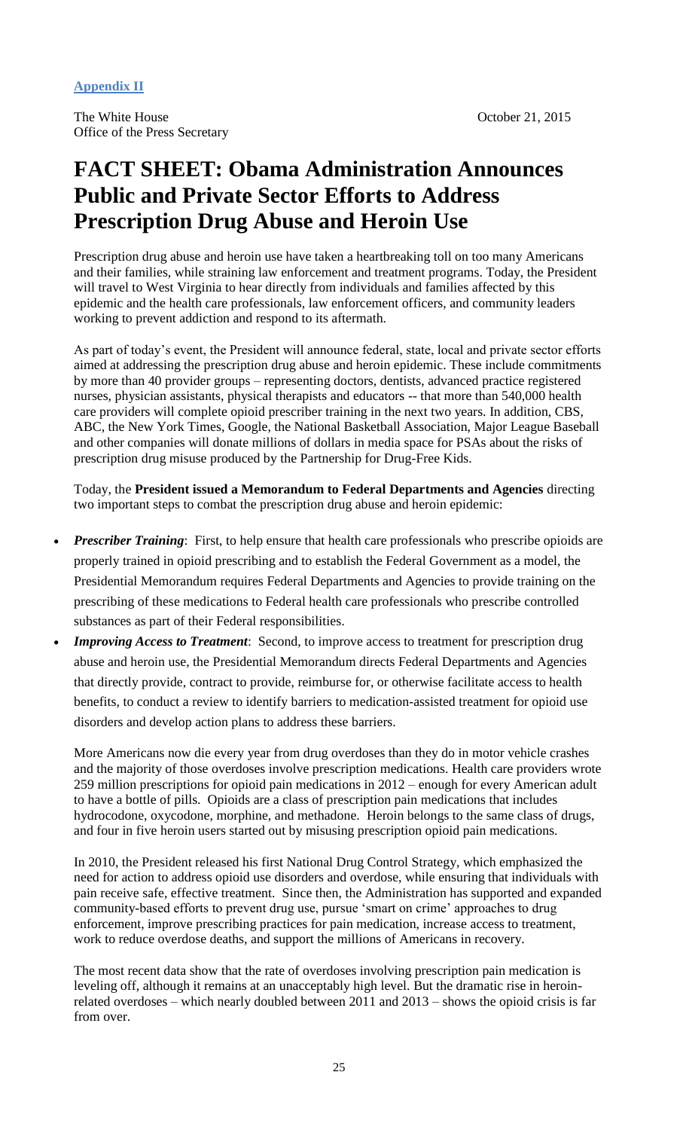## <span id="page-24-0"></span>**Appendix II**

## **FACT SHEET: Obama Administration Announces Public and Private Sector Efforts to Address Prescription Drug Abuse and Heroin Use**

Prescription drug abuse and heroin use have taken a heartbreaking toll on too many Americans and their families, while straining law enforcement and treatment programs. Today, the President will travel to West Virginia to hear directly from individuals and families affected by this epidemic and the health care professionals, law enforcement officers, and community leaders working to prevent addiction and respond to its aftermath.

As part of today's event, the President will announce federal, state, local and private sector efforts aimed at addressing the prescription drug abuse and heroin epidemic. These include commitments by more than 40 provider groups – representing doctors, dentists, advanced practice registered nurses, physician assistants, physical therapists and educators -- that more than 540,000 health care providers will complete opioid prescriber training in the next two years. In addition, CBS, ABC, the New York Times, Google, the National Basketball Association, Major League Baseball and other companies will donate millions of dollars in media space for PSAs about the risks of prescription drug misuse produced by the Partnership for Drug-Free Kids.

Today, the **President issued a Memorandum to Federal Departments and Agencies** directing two important steps to combat the prescription drug abuse and heroin epidemic:

- *Prescriber Training*: First, to help ensure that health care professionals who prescribe opioids are properly trained in opioid prescribing and to establish the Federal Government as a model, the Presidential Memorandum requires Federal Departments and Agencies to provide training on the prescribing of these medications to Federal health care professionals who prescribe controlled substances as part of their Federal responsibilities.
- *Improving Access to Treatment*: Second, to improve access to treatment for prescription drug abuse and heroin use, the Presidential Memorandum directs Federal Departments and Agencies that directly provide, contract to provide, reimburse for, or otherwise facilitate access to health benefits, to conduct a review to identify barriers to medication-assisted treatment for opioid use disorders and develop action plans to address these barriers.

More Americans now die every year from drug overdoses than they do in motor vehicle crashes and the majority of those overdoses involve prescription medications. Health care providers wrote 259 million prescriptions for opioid pain medications in 2012 – enough for every American adult to have a bottle of pills. Opioids are a class of prescription pain medications that includes hydrocodone, oxycodone, morphine, and methadone. Heroin belongs to the same class of drugs, and four in five heroin users started out by misusing prescription opioid pain medications.

In 2010, the President released his first National Drug Control Strategy, which emphasized the need for action to address opioid use disorders and overdose, while ensuring that individuals with pain receive safe, effective treatment. Since then, the Administration has supported and expanded community-based efforts to prevent drug use, pursue 'smart on crime' approaches to drug enforcement, improve prescribing practices for pain medication, increase access to treatment, work to reduce overdose deaths, and support the millions of Americans in recovery.

The most recent data show that the rate of overdoses involving prescription pain medication is leveling off, although it remains at an unacceptably high level. But the dramatic rise in heroinrelated overdoses – which nearly doubled between 2011 and 2013 – shows the opioid crisis is far from over.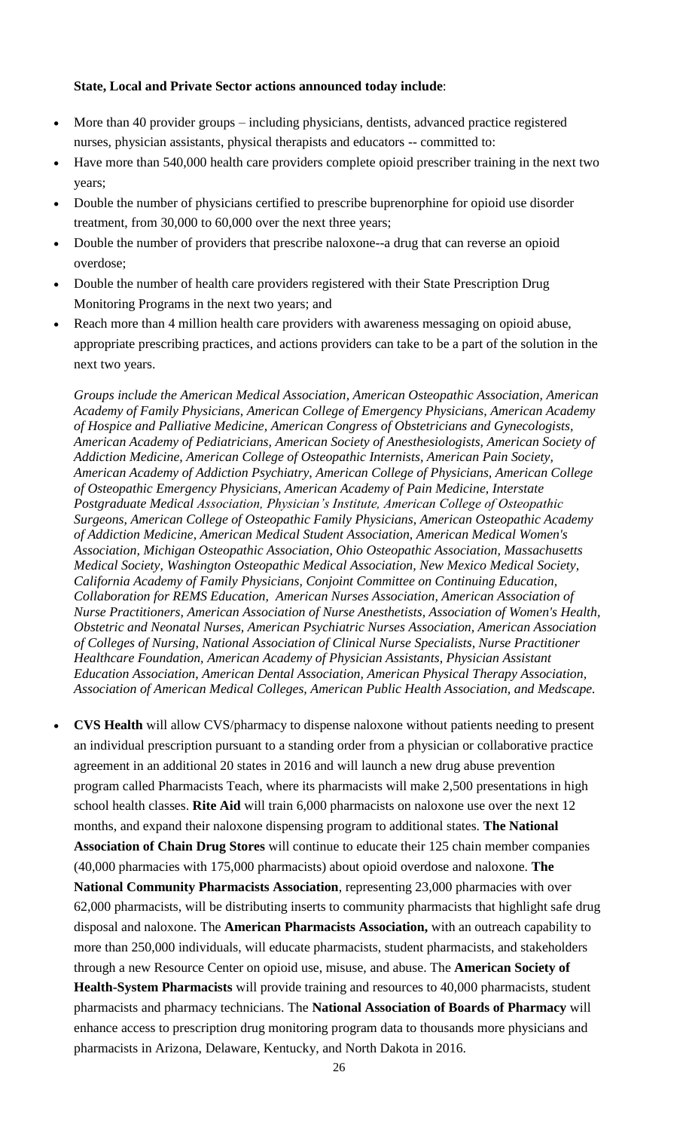## **State, Local and Private Sector actions announced today include**:

- More than 40 provider groups including physicians, dentists, advanced practice registered nurses, physician assistants, physical therapists and educators -- committed to:
- Have more than 540,000 health care providers complete opioid prescriber training in the next two years;
- Double the number of physicians certified to prescribe buprenorphine for opioid use disorder treatment, from 30,000 to 60,000 over the next three years;
- Double the number of providers that prescribe naloxone--a drug that can reverse an opioid overdose;
- Double the number of health care providers registered with their State Prescription Drug Monitoring Programs in the next two years; and
- Reach more than 4 million health care providers with awareness messaging on opioid abuse, appropriate prescribing practices, and actions providers can take to be a part of the solution in the next two years.

*Groups include the American Medical Association, American Osteopathic Association, American Academy of Family Physicians, American College of Emergency Physicians, American Academy of Hospice and Palliative Medicine, American Congress of Obstetricians and Gynecologists, American Academy of Pediatricians, American Society of Anesthesiologists, American Society of Addiction Medicine, American College of Osteopathic Internists, American Pain Society, American Academy of Addiction Psychiatry, American College of Physicians, American College of Osteopathic Emergency Physicians, American Academy of Pain Medicine, Interstate Postgraduate Medical Association, Physician's Institute, American College of Osteopathic Surgeons, American College of Osteopathic Family Physicians, American Osteopathic Academy of Addiction Medicine, American Medical Student Association, American Medical Women's Association, Michigan Osteopathic Association, Ohio Osteopathic Association, Massachusetts Medical Society, Washington Osteopathic Medical Association, New Mexico Medical Society, California Academy of Family Physicians, Conjoint Committee on Continuing Education, Collaboration for REMS Education, American Nurses Association, American Association of Nurse Practitioners, American Association of Nurse Anesthetists, Association of Women's Health, Obstetric and Neonatal Nurses, American Psychiatric Nurses Association, American Association of Colleges of Nursing, National Association of Clinical Nurse Specialists, Nurse Practitioner Healthcare Foundation, American Academy of Physician Assistants, Physician Assistant Education Association, American Dental Association, American Physical Therapy Association, Association of American Medical Colleges, American Public Health Association, and Medscape.*

 **CVS Health** will allow CVS/pharmacy to dispense naloxone without patients needing to present an individual prescription pursuant to a standing order from a physician or collaborative practice agreement in an additional 20 states in 2016 and will launch a new drug abuse prevention program called Pharmacists Teach, where its pharmacists will make 2,500 presentations in high school health classes. **Rite Aid** will train 6,000 pharmacists on naloxone use over the next 12 months, and expand their naloxone dispensing program to additional states. **The National Association of Chain Drug Stores** will continue to educate their 125 chain member companies (40,000 pharmacies with 175,000 pharmacists) about opioid overdose and naloxone. **The National Community Pharmacists Association**, representing 23,000 pharmacies with over 62,000 pharmacists, will be distributing inserts to community pharmacists that highlight safe drug disposal and naloxone. The **American Pharmacists Association,** with an outreach capability to more than 250,000 individuals, will educate pharmacists, student pharmacists, and stakeholders through a new Resource Center on opioid use, misuse, and abuse. The **American Society of Health-System Pharmacists** will provide training and resources to 40,000 pharmacists, student pharmacists and pharmacy technicians. The **National Association of Boards of Pharmacy** will enhance access to prescription drug monitoring program data to thousands more physicians and pharmacists in Arizona, Delaware, Kentucky, and North Dakota in 2016.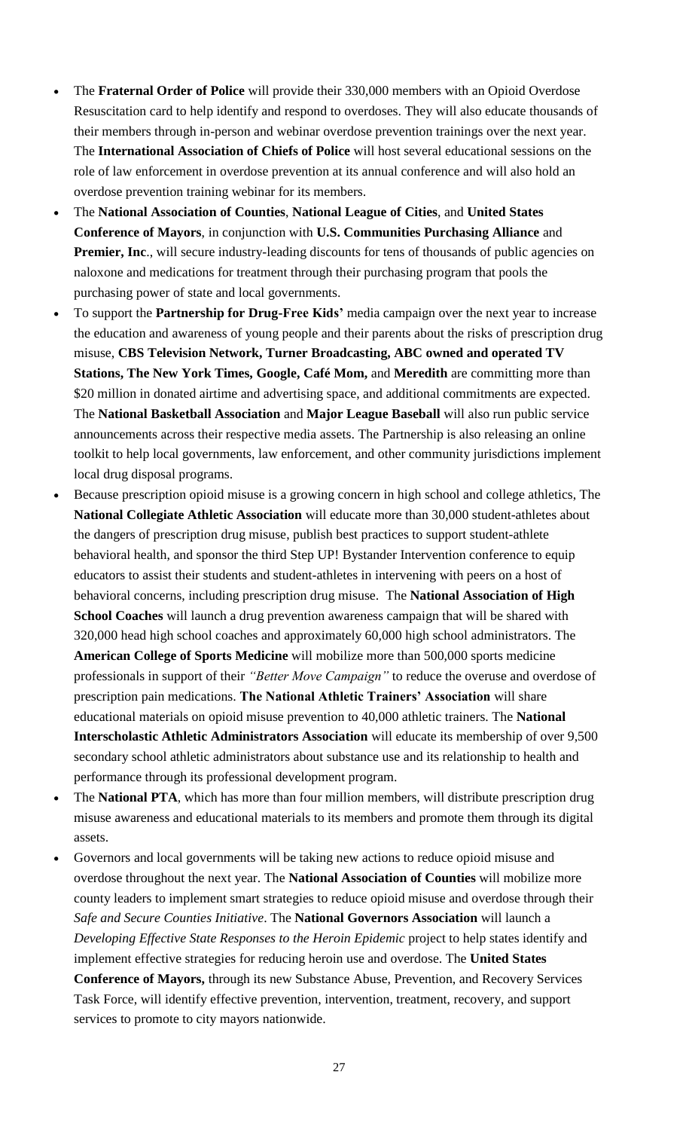- The **Fraternal Order of Police** will provide their 330,000 members with an Opioid Overdose Resuscitation card to help identify and respond to overdoses. They will also educate thousands of their members through in-person and webinar overdose prevention trainings over the next year. The **International Association of Chiefs of Police** will host several educational sessions on the role of law enforcement in overdose prevention at its annual conference and will also hold an overdose prevention training webinar for its members.
- The **National Association of Counties**, **National League of Cities**, and **United States Conference of Mayors**, in conjunction with **U.S. Communities Purchasing Alliance** and **Premier, Inc.**, will secure industry-leading discounts for tens of thousands of public agencies on naloxone and medications for treatment through their purchasing program that pools the purchasing power of state and local governments.
- To support the **Partnership for Drug-Free Kids'** media campaign over the next year to increase the education and awareness of young people and their parents about the risks of prescription drug misuse, **CBS Television Network, Turner Broadcasting, ABC owned and operated TV Stations, The New York Times, Google, Café Mom,** and **Meredith** are committing more than \$20 million in donated airtime and advertising space, and additional commitments are expected. The **National Basketball Association** and **Major League Baseball** will also run public service announcements across their respective media assets. The Partnership is also releasing an online toolkit to help local governments, law enforcement, and other community jurisdictions implement local drug disposal programs.
- Because prescription opioid misuse is a growing concern in high school and college athletics, The **National Collegiate Athletic Association** will educate more than 30,000 student-athletes about the dangers of prescription drug misuse, publish best practices to support student-athlete behavioral health, and sponsor the third Step UP! Bystander Intervention conference to equip educators to assist their students and student-athletes in intervening with peers on a host of behavioral concerns, including prescription drug misuse. The **National Association of High School Coaches** will launch a drug prevention awareness campaign that will be shared with 320,000 head high school coaches and approximately 60,000 high school administrators. The **American College of Sports Medicine** will mobilize more than 500,000 sports medicine professionals in support of their *"Better Move Campaign"* to reduce the overuse and overdose of prescription pain medications. **The National Athletic Trainers' Association** will share educational materials on opioid misuse prevention to 40,000 athletic trainers. The **National Interscholastic Athletic Administrators Association** will educate its membership of over 9,500 secondary school athletic administrators about substance use and its relationship to health and performance through its professional development program.
- The **National PTA**, which has more than four million members, will distribute prescription drug misuse awareness and educational materials to its members and promote them through its digital assets.
- Governors and local governments will be taking new actions to reduce opioid misuse and overdose throughout the next year. The **National Association of Counties** will mobilize more county leaders to implement smart strategies to reduce opioid misuse and overdose through their *Safe and Secure Counties Initiative*. The **National Governors Association** will launch a *Developing Effective State Responses to the Heroin Epidemic* project to help states identify and implement effective strategies for reducing heroin use and overdose. The **United States Conference of Mayors,** through its new Substance Abuse, Prevention, and Recovery Services Task Force, will identify effective prevention, intervention, treatment, recovery, and support services to promote to city mayors nationwide.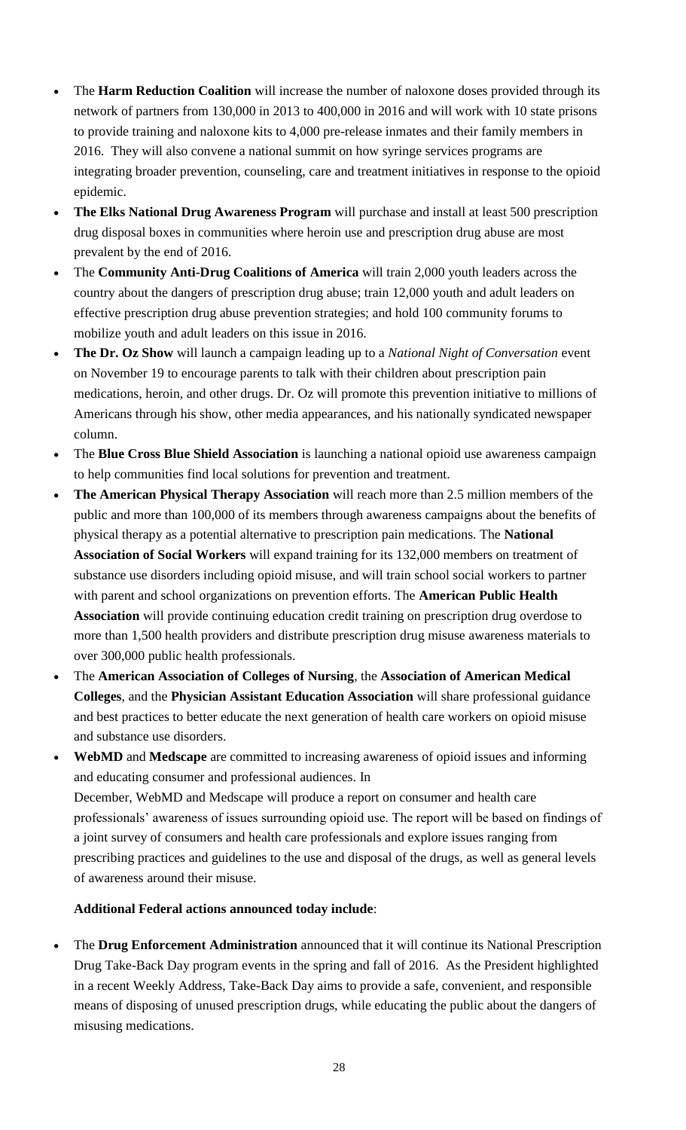- The **Harm Reduction Coalition** will increase the number of naloxone doses provided through its network of partners from 130,000 in 2013 to 400,000 in 2016 and will work with 10 state prisons to provide training and naloxone kits to 4,000 pre-release inmates and their family members in 2016. They will also convene a national summit on how syringe services programs are integrating broader prevention, counseling, care and treatment initiatives in response to the opioid epidemic.
- **The Elks National Drug Awareness Program** will purchase and install at least 500 prescription drug disposal boxes in communities where heroin use and prescription drug abuse are most prevalent by the end of 2016.
- The **Community Anti-Drug Coalitions of America** will train 2,000 youth leaders across the country about the dangers of prescription drug abuse; train 12,000 youth and adult leaders on effective prescription drug abuse prevention strategies; and hold 100 community forums to mobilize youth and adult leaders on this issue in 2016.
- **The Dr. Oz Show** will launch a campaign leading up to a *National Night of Conversation* event on November 19 to encourage parents to talk with their children about prescription pain medications, heroin, and other drugs. Dr. Oz will promote this prevention initiative to millions of Americans through his show, other media appearances, and his nationally syndicated newspaper column.
- The **Blue Cross Blue Shield Association** is launching a national opioid use awareness campaign to help communities find local solutions for prevention and treatment.
- **The American Physical Therapy Association** will reach more than 2.5 million members of the public and more than 100,000 of its members through awareness campaigns about the benefits of physical therapy as a potential alternative to prescription pain medications. The **National Association of Social Workers** will expand training for its 132,000 members on treatment of substance use disorders including opioid misuse, and will train school social workers to partner with parent and school organizations on prevention efforts. The **American Public Health Association** will provide continuing education credit training on prescription drug overdose to more than 1,500 health providers and distribute prescription drug misuse awareness materials to over 300,000 public health professionals.
- The **American Association of Colleges of Nursing**, the **Association of American Medical Colleges**, and the **Physician Assistant Education Association** will share professional guidance and best practices to better educate the next generation of health care workers on opioid misuse and substance use disorders.
- **WebMD** and **Medscape** are committed to increasing awareness of opioid issues and informing and educating consumer and professional audiences. In December, WebMD and Medscape will produce a report on consumer and health care professionals' awareness of issues surrounding opioid use. The report will be based on findings of a joint survey of consumers and health care professionals and explore issues ranging from prescribing practices and guidelines to the use and disposal of the drugs, as well as general levels of awareness around their misuse.

## **Additional Federal actions announced today include**:

 The **Drug Enforcement Administration** announced that it will continue its National Prescription Drug Take-Back Day program events in the spring and fall of 2016. As the President highlighted in a recent Weekly Address, Take-Back Day aims to provide a safe, convenient, and responsible means of disposing of unused prescription drugs, while educating the public about the dangers of misusing medications.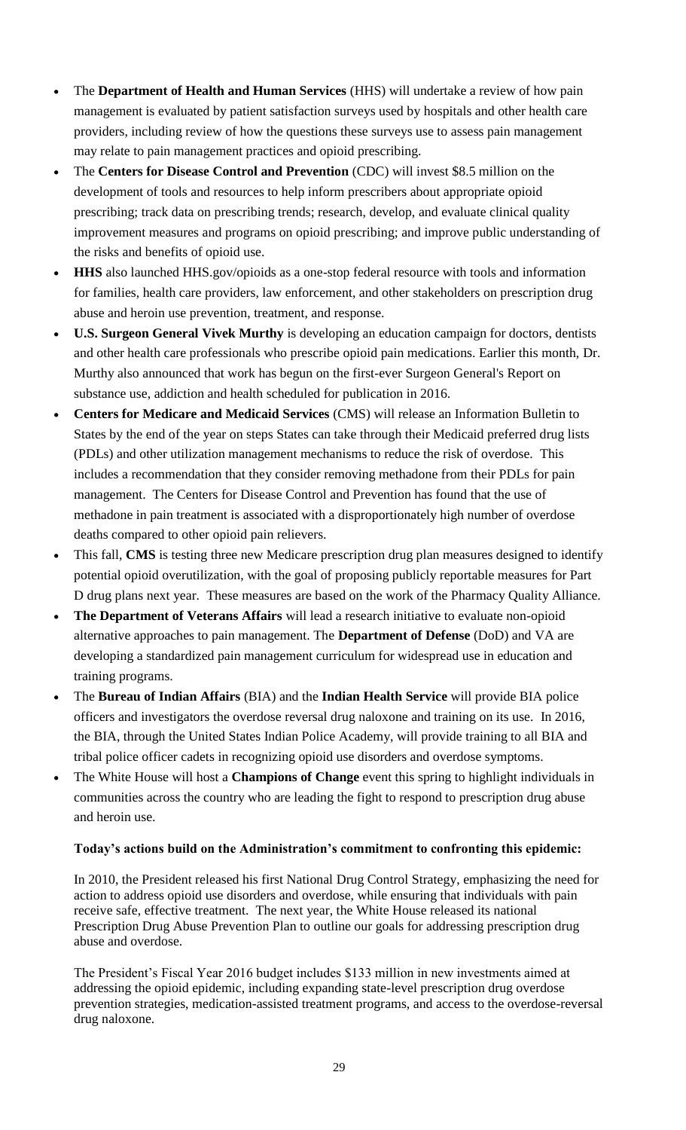- The **Department of Health and Human Services** (HHS) will undertake a review of how pain management is evaluated by patient satisfaction surveys used by hospitals and other health care providers, including review of how the questions these surveys use to assess pain management may relate to pain management practices and opioid prescribing.
- The **Centers for Disease Control and Prevention** (CDC) will invest \$8.5 million on the development of tools and resources to help inform prescribers about appropriate opioid prescribing; track data on prescribing trends; research, develop, and evaluate clinical quality improvement measures and programs on opioid prescribing; and improve public understanding of the risks and benefits of opioid use.
- **HHS** also launched HHS.gov/opioids as a one-stop federal resource with tools and information for families, health care providers, law enforcement, and other stakeholders on prescription drug abuse and heroin use prevention, treatment, and response.
- **U.S. Surgeon General Vivek Murthy** is developing an education campaign for doctors, dentists and other health care professionals who prescribe opioid pain medications. Earlier this month, Dr. Murthy also announced that work has begun on the first-ever Surgeon General's Report on substance use, addiction and health scheduled for publication in 2016.
- **Centers for Medicare and Medicaid Services** (CMS) will release an Information Bulletin to States by the end of the year on steps States can take through their Medicaid preferred drug lists (PDLs) and other utilization management mechanisms to reduce the risk of overdose. This includes a recommendation that they consider removing methadone from their PDLs for pain management. The Centers for Disease Control and Prevention has found that the use of methadone in pain treatment is associated with a disproportionately high number of overdose deaths compared to other opioid pain relievers.
- This fall, **CMS** is testing three new Medicare prescription drug plan measures designed to identify potential opioid overutilization, with the goal of proposing publicly reportable measures for Part D drug plans next year. These measures are based on the work of the Pharmacy Quality Alliance.
- **The Department of Veterans Affairs** will lead a research initiative to evaluate non-opioid alternative approaches to pain management. The **Department of Defense** (DoD) and VA are developing a standardized pain management curriculum for widespread use in education and training programs.
- The **Bureau of Indian Affairs** (BIA) and the **Indian Health Service** will provide BIA police officers and investigators the overdose reversal drug naloxone and training on its use. In 2016, the BIA, through the United States Indian Police Academy, will provide training to all BIA and tribal police officer cadets in recognizing opioid use disorders and overdose symptoms.
- The White House will host a **Champions of Change** event this spring to highlight individuals in communities across the country who are leading the fight to respond to prescription drug abuse and heroin use.

#### **Today's actions build on the Administration's commitment to confronting this epidemic:**

In 2010, the President released his first National Drug Control Strategy, emphasizing the need for action to address opioid use disorders and overdose, while ensuring that individuals with pain receive safe, effective treatment. The next year, the White House released its national Prescription Drug Abuse Prevention Plan to outline our goals for addressing prescription drug abuse and overdose.

The President's Fiscal Year 2016 budget includes \$133 million in new investments aimed at addressing the opioid epidemic, including expanding state-level prescription drug overdose prevention strategies, medication-assisted treatment programs, and access to the overdose-reversal drug naloxone.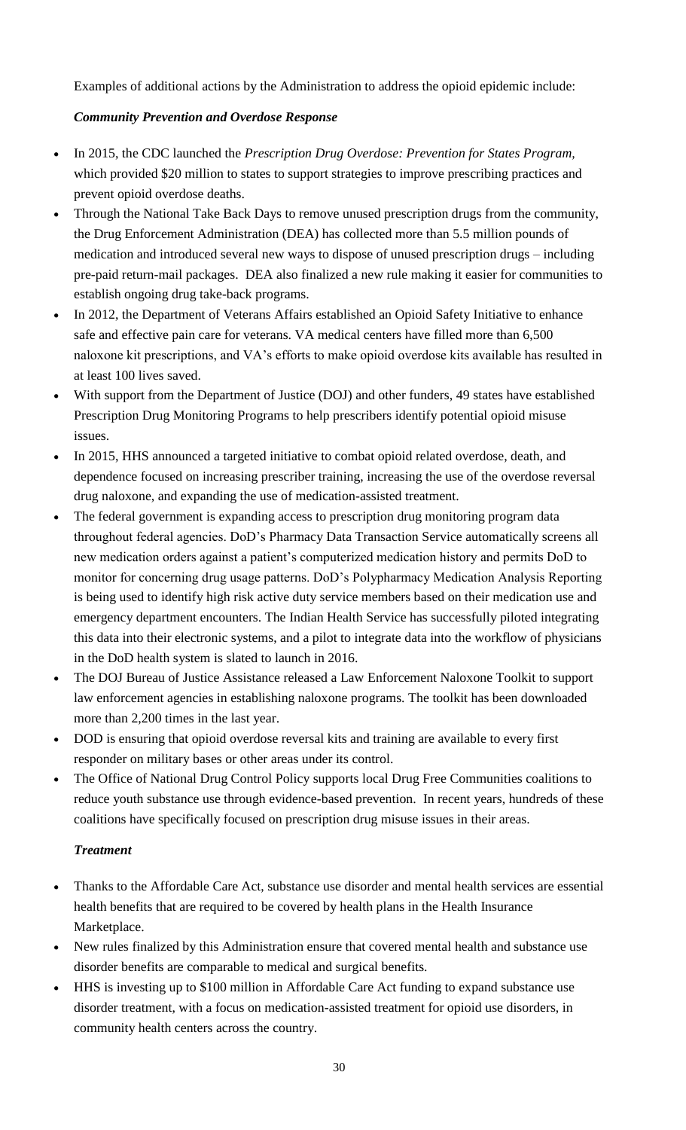Examples of additional actions by the Administration to address the opioid epidemic include:

## *Community Prevention and Overdose Response*

- In 2015, the CDC launched the *Prescription Drug Overdose: Prevention for States Program,*  which provided \$20 million to states to support strategies to improve prescribing practices and prevent opioid overdose deaths.
- Through the National Take Back Days to remove unused prescription drugs from the community, the Drug Enforcement Administration (DEA) has collected more than 5.5 million pounds of medication and introduced several new ways to dispose of unused prescription drugs – including pre-paid return-mail packages. DEA also finalized a new rule making it easier for communities to establish ongoing drug take-back programs.
- In 2012, the Department of Veterans Affairs established an Opioid Safety Initiative to enhance safe and effective pain care for veterans. VA medical centers have filled more than 6,500 naloxone kit prescriptions, and VA's efforts to make opioid overdose kits available has resulted in at least 100 lives saved.
- With support from the Department of Justice (DOJ) and other funders, 49 states have established Prescription Drug Monitoring Programs to help prescribers identify potential opioid misuse issues.
- In 2015, HHS announced a targeted initiative to combat opioid related overdose, death, and dependence focused on increasing prescriber training, increasing the use of the overdose reversal drug naloxone, and expanding the use of medication-assisted treatment.
- The federal government is expanding access to prescription drug monitoring program data throughout federal agencies. DoD's Pharmacy Data Transaction Service automatically screens all new medication orders against a patient's computerized medication history and permits DoD to monitor for concerning drug usage patterns. DoD's Polypharmacy Medication Analysis Reporting is being used to identify high risk active duty service members based on their medication use and emergency department encounters. The Indian Health Service has successfully piloted integrating this data into their electronic systems, and a pilot to integrate data into the workflow of physicians in the DoD health system is slated to launch in 2016.
- The DOJ Bureau of Justice Assistance released a Law Enforcement Naloxone Toolkit to support law enforcement agencies in establishing naloxone programs. The toolkit has been downloaded more than 2,200 times in the last year.
- DOD is ensuring that opioid overdose reversal kits and training are available to every first responder on military bases or other areas under its control.
- The Office of National Drug Control Policy supports local Drug Free Communities coalitions to reduce youth substance use through evidence-based prevention. In recent years, hundreds of these coalitions have specifically focused on prescription drug misuse issues in their areas.

## *Treatment*

- Thanks to the Affordable Care Act, substance use disorder and mental health services are essential health benefits that are required to be covered by health plans in the Health Insurance Marketplace.
- New rules finalized by this Administration ensure that covered mental health and substance use disorder benefits are comparable to medical and surgical benefits.
- HHS is investing up to \$100 million in Affordable Care Act funding to expand substance use disorder treatment, with a focus on medication-assisted treatment for opioid use disorders, in community health centers across the country.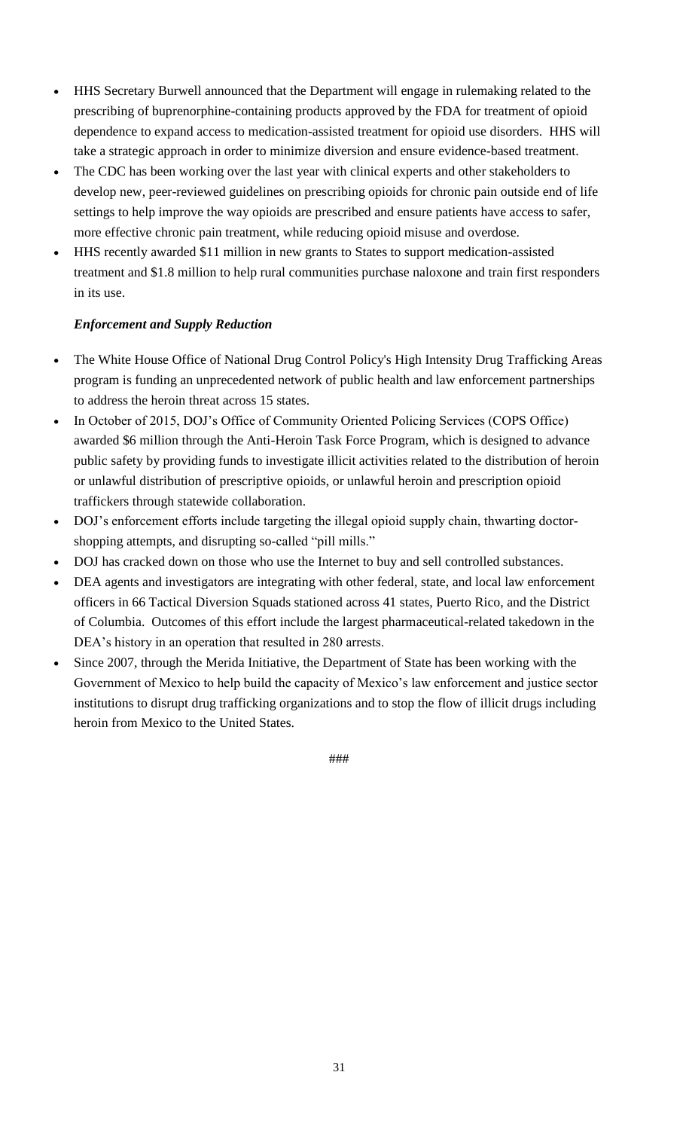- HHS Secretary Burwell announced that the Department will engage in rulemaking related to the prescribing of buprenorphine-containing products approved by the FDA for treatment of opioid dependence to expand access to medication-assisted treatment for opioid use disorders. HHS will take a strategic approach in order to minimize diversion and ensure evidence-based treatment.
- The CDC has been working over the last year with clinical experts and other stakeholders to develop new, peer-reviewed guidelines on prescribing opioids for chronic pain outside end of life settings to help improve the way opioids are prescribed and ensure patients have access to safer, more effective chronic pain treatment, while reducing opioid misuse and overdose.
- HHS recently awarded \$11 million in new grants to States to support medication-assisted treatment and \$1.8 million to help rural communities purchase naloxone and train first responders in its use.

## *Enforcement and Supply Reduction*

- The White House Office of National Drug Control Policy's High Intensity Drug Trafficking Areas program is funding an unprecedented network of public health and law enforcement partnerships to address the heroin threat across 15 states.
- In October of 2015, DOJ's Office of Community Oriented Policing Services (COPS Office) awarded \$6 million through the Anti-Heroin Task Force Program, which is designed to advance public safety by providing funds to investigate illicit activities related to the distribution of heroin or unlawful distribution of prescriptive opioids, or unlawful heroin and prescription opioid traffickers through statewide collaboration.
- DOJ's enforcement efforts include targeting the illegal opioid supply chain, thwarting doctorshopping attempts, and disrupting so-called "pill mills."
- DOJ has cracked down on those who use the Internet to buy and sell controlled substances.
- DEA agents and investigators are integrating with other federal, state, and local law enforcement officers in 66 Tactical Diversion Squads stationed across 41 states, Puerto Rico, and the District of Columbia. Outcomes of this effort include the largest pharmaceutical-related takedown in the DEA's history in an operation that resulted in 280 arrests.
- Since 2007, through the Merida Initiative, the Department of State has been working with the Government of Mexico to help build the capacity of Mexico's law enforcement and justice sector institutions to disrupt drug trafficking organizations and to stop the flow of illicit drugs including heroin from Mexico to the United States.

###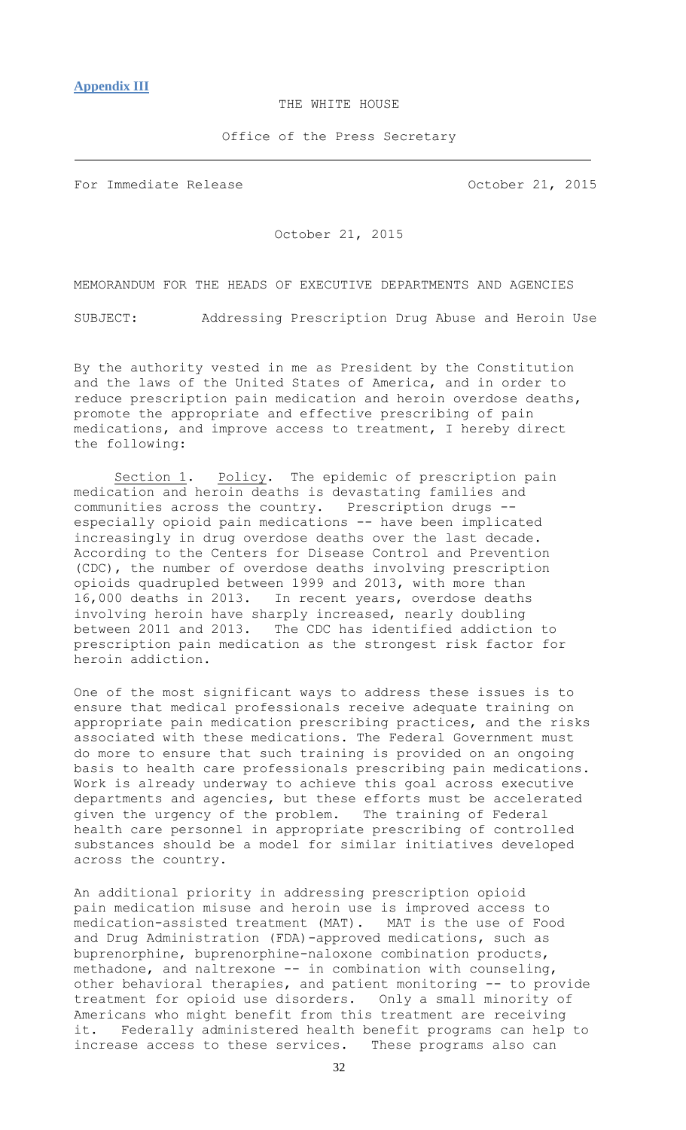#### THE WHITE HOUSE

Office of the Press Secretary

<span id="page-31-0"></span>For Immediate Release **Constanting Constanting Constanting Constanting Constanting Constanting Constanting Constanting Constanting Constanting Constanting Constanting Constanting Constanting Constanting Constanting Constan** 

October 21, 2015

MEMORANDUM FOR THE HEADS OF EXECUTIVE DEPARTMENTS AND AGENCIES

SUBJECT: Addressing Prescription Drug Abuse and Heroin Use

By the authority vested in me as President by the Constitution and the laws of the United States of America, and in order to reduce prescription pain medication and heroin overdose deaths, promote the appropriate and effective prescribing of pain medications, and improve access to treatment, I hereby direct the following:

Section 1. Policy. The epidemic of prescription pain medication and heroin deaths is devastating families and communities across the country. Prescription drugs - especially opioid pain medications -- have been implicated increasingly in drug overdose deaths over the last decade. According to the Centers for Disease Control and Prevention (CDC), the number of overdose deaths involving prescription opioids quadrupled between 1999 and 2013, with more than 16,000 deaths in 2013. In recent years, overdose deaths involving heroin have sharply increased, nearly doubling between 2011 and 2013. The CDC has identified addiction to prescription pain medication as the strongest risk factor for heroin addiction.

One of the most significant ways to address these issues is to ensure that medical professionals receive adequate training on appropriate pain medication prescribing practices, and the risks associated with these medications. The Federal Government must do more to ensure that such training is provided on an ongoing basis to health care professionals prescribing pain medications. Work is already underway to achieve this goal across executive departments and agencies, but these efforts must be accelerated given the urgency of the problem. The training of Federal health care personnel in appropriate prescribing of controlled substances should be a model for similar initiatives developed across the country.

An additional priority in addressing prescription opioid pain medication misuse and heroin use is improved access to medication-assisted treatment (MAT). MAT is the use of Food and Drug Administration (FDA)-approved medications, such as buprenorphine, buprenorphine-naloxone combination products, methadone, and naltrexone -- in combination with counseling, other behavioral therapies, and patient monitoring -- to provide treatment for opioid use disorders. Only a small minority of Americans who might benefit from this treatment are receiving it. Federally administered health benefit programs can help to increase access to these services. These programs also can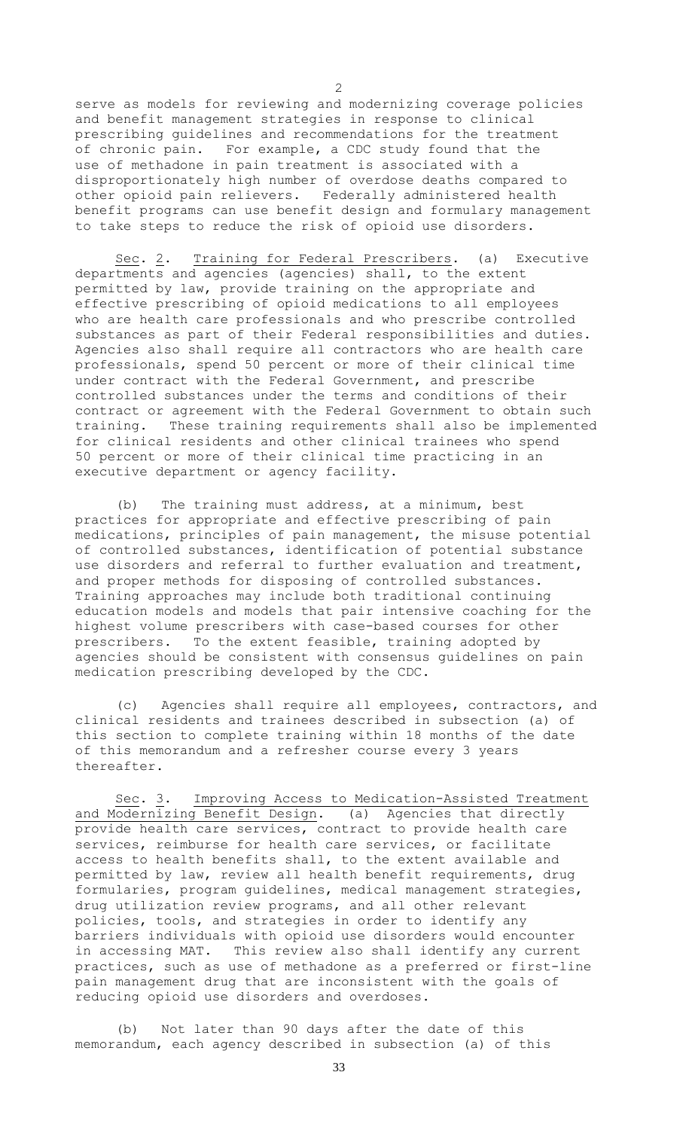serve as models for reviewing and modernizing coverage policies and benefit management strategies in response to clinical prescribing guidelines and recommendations for the treatment of chronic pain. For example, a CDC study found that the use of methadone in pain treatment is associated with a disproportionately high number of overdose deaths compared to other opioid pain relievers. Federally administered health benefit programs can use benefit design and formulary management to take steps to reduce the risk of opioid use disorders.

Sec. 2. Training for Federal Prescribers. (a) Executive departments and agencies (agencies) shall, to the extent permitted by law, provide training on the appropriate and effective prescribing of opioid medications to all employees who are health care professionals and who prescribe controlled substances as part of their Federal responsibilities and duties. Agencies also shall require all contractors who are health care professionals, spend 50 percent or more of their clinical time under contract with the Federal Government, and prescribe controlled substances under the terms and conditions of their contract or agreement with the Federal Government to obtain such training. These training requirements shall also be implemented for clinical residents and other clinical trainees who spend 50 percent or more of their clinical time practicing in an executive department or agency facility.

(b) The training must address, at a minimum, best practices for appropriate and effective prescribing of pain medications, principles of pain management, the misuse potential of controlled substances, identification of potential substance use disorders and referral to further evaluation and treatment, and proper methods for disposing of controlled substances. Training approaches may include both traditional continuing education models and models that pair intensive coaching for the highest volume prescribers with case-based courses for other prescribers. To the extent feasible, training adopted by agencies should be consistent with consensus guidelines on pain medication prescribing developed by the CDC.

(c) Agencies shall require all employees, contractors, and clinical residents and trainees described in subsection (a) of this section to complete training within 18 months of the date of this memorandum and a refresher course every 3 years thereafter.

Sec. 3. Improving Access to Medication-Assisted Treatment and Modernizing Benefit Design. (a) Agencies that directly provide health care services, contract to provide health care services, reimburse for health care services, or facilitate access to health benefits shall, to the extent available and permitted by law, review all health benefit requirements, drug formularies, program guidelines, medical management strategies, drug utilization review programs, and all other relevant policies, tools, and strategies in order to identify any barriers individuals with opioid use disorders would encounter in accessing MAT. This review also shall identify any current practices, such as use of methadone as a preferred or first-line pain management drug that are inconsistent with the goals of reducing opioid use disorders and overdoses.

(b) Not later than 90 days after the date of this memorandum, each agency described in subsection (a) of this

2